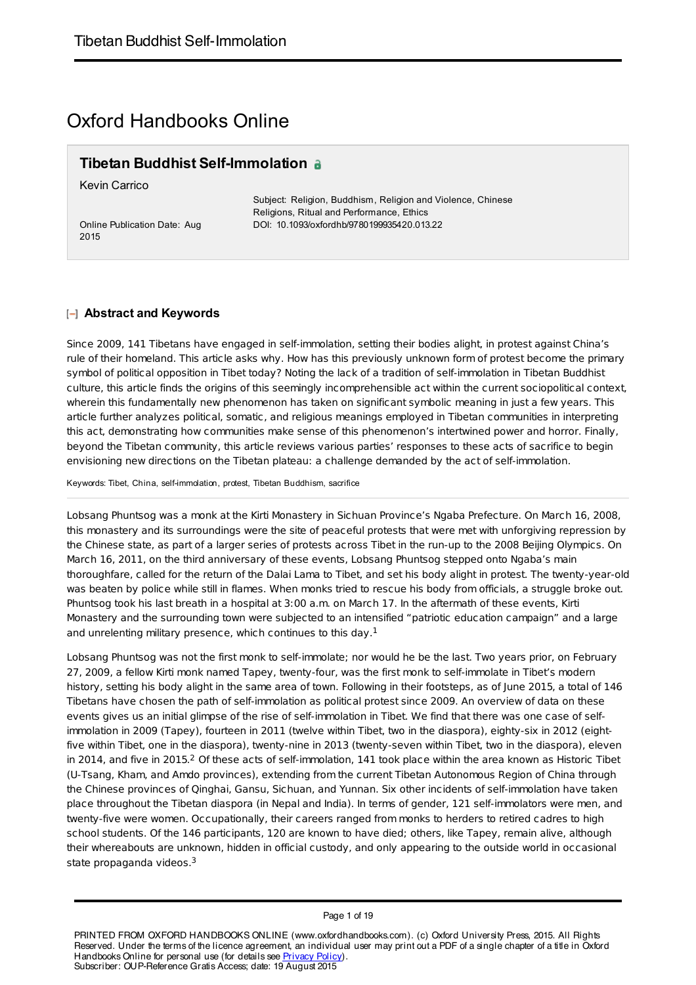# Oxford Handbooks Online

# **Tibetan Buddhist Self-Immolation**

Kevin Carrico

Online Publication Date: Aug 2015

Subject: Religion, Buddhism, Religion and Violence, Chinese Religions, Ritual and Performance, Ethics DOI: 10.1093/oxfordhb/9780199935420.013.22

### **Abstract and Keywords**

Since 2009, 141 Tibetans have engaged in self-immolation, setting their bodies alight, in protest against China's rule of their homeland. This article asks why. How has this previously unknown form of protest become the primary symbol of political opposition in Tibet today? Noting the lack of a tradition of self-immolation in Tibetan Buddhist culture, this article finds the origins of this seemingly incomprehensible act within the current sociopolitical context, wherein this fundamentally new phenomenon has taken on significant symbolic meaning in just a few years. This article further analyzes political, somatic, and religious meanings employed in Tibetan communities in interpreting this act, demonstrating how communities make sense of this phenomenon's intertwined power and horror. Finally, beyond the Tibetan community, this article reviews various parties' responses to these acts of sacrifice to begin envisioning new directions on the Tibetan plateau: a challenge demanded by the act of self-immolation.

Keywords: Tibet, China, self-immolation, protest, Tibetan Buddhism, sacrifice

Lobsang Phuntsog was a monk at the Kirti Monastery in Sichuan Province's Ngaba Prefecture. On March 16, 2008, this monastery and its surroundings were the site of peaceful protests that were met with unforgiving repression by the Chinese state, as part of a larger series of protests across Tibet in the run-up to the 2008 Beijing Olympics. On March 16, 2011, on the third anniversary of these events, Lobsang Phuntsog stepped onto Ngaba's main thoroughfare, called for the return of the Dalai Lama to Tibet, and set his body alight in protest. The twenty-year-old was beaten by police while still in flames. When monks tried to rescue his body from officials, a struggle broke out. Phuntsog took his last breath in a hospital at 3:00 a.m. on March 17. In the aftermath of these events, Kirti Monastery and the surrounding town were subjected to an intensified "patriotic education campaign" and a large and unrelenting military presence, which continues to this day. $<sup>1</sup>$ </sup>

Lobsang Phuntsog was not the first monk to self-immolate; nor would he be the last. Two years prior, on February 27, 2009, a fellow Kirti monk named Tapey, twenty-four, was the first monk to self-immolate in Tibet's modern history, setting his body alight in the same area of town. Following in their footsteps, as of June 2015, a total of 146 Tibetans have chosen the path of self-immolation as political protest since 2009. An overview of data on these events gives us an initial glimpse of the rise of self-immolation in Tibet. We find that there was one case of selfimmolation in 2009 (Tapey), fourteen in 2011 (twelve within Tibet, two in the diaspora), eighty-six in 2012 (eightfive within Tibet, one in the diaspora), twenty-nine in 2013 (twenty-seven within Tibet, two in the diaspora), eleven in 2014, and five in 2015.<sup>2</sup> Of these acts of self-immolation, 141 took place within the area known as Historic Tibet (U-Tsang, Kham, and Amdo provinces), extending from the current Tibetan Autonomous Region of China through the Chinese provinces of Qinghai, Gansu, Sichuan, and Yunnan. Six other incidents of self-immolation have taken place throughout the Tibetan diaspora (in Nepal and India). In terms of gender, 121 self-immolators were men, and twenty-five were women. Occupationally, their careers ranged from monks to herders to retired cadres to high school students. Of the 146 participants, 120 are known to have died; others, like Tapey, remain alive, although their whereabouts are unknown, hidden in official custody, and only appearing to the outside world in occasional state propaganda videos.<sup>3</sup>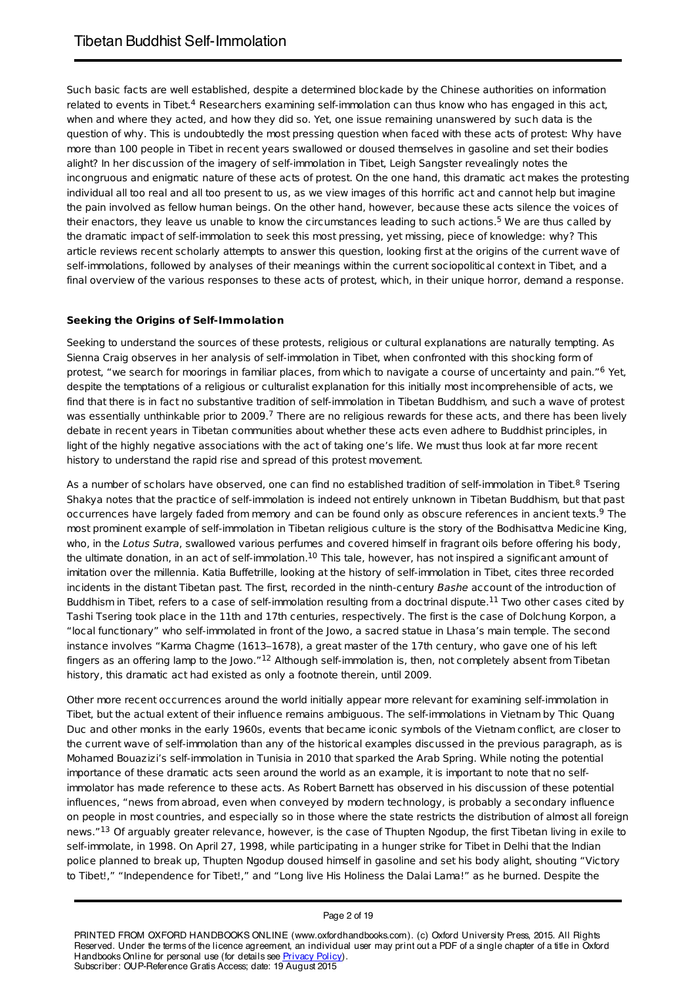Such basic facts are well established, despite a determined blockade by the Chinese authorities on information related to events in Tibet. $^4$  Researchers examining self-immolation can thus know who has engaged in this act, when and where they acted, and how they did so. Yet, one issue remaining unanswered by such data is the question of why. This is undoubtedly the most pressing question when faced with these acts of protest: Why have more than 100 people in Tibet in recent years swallowed or doused themselves in gasoline and set their bodies alight? In her discussion of the imagery of self-immolation in Tibet, Leigh Sangster revealingly notes the incongruous and enigmatic nature of these acts of protest. On the one hand, this dramatic act makes the protesting individual all too real and all too present to us, as we view images of this horrific act and cannot help but imagine the pain involved as fellow human beings. On the other hand, however, because these acts silence the voices of their enactors, they leave us unable to know the circumstances leading to such actions.<sup>5</sup> We are thus called by the dramatic impact of self-immolation to seek this most pressing, yet missing, piece of knowledge: why? This article reviews recent scholarly attempts to answer this question, looking first at the origins of the current wave of self-immolations, followed by analyses of their meanings within the current sociopolitical context in Tibet, and a final overview of the various responses to these acts of protest, which, in their unique horror, demand a response.

### **Seeking the Origins of Self-Immolation**

Seeking to understand the sources of these protests, religious or cultural explanations are naturally tempting. As Sienna Craig observes in her analysis of self-immolation in Tibet, when confronted with this shocking form of protest, "we search for moorings in familiar places, from which to navigate a course of uncertainty and pain."<sup>6</sup> Yet, despite the temptations of a religious or culturalist explanation for this initially most incomprehensible of acts, we find that there is in fact no substantive tradition of self-immolation in Tibetan Buddhism, and such a wave of protest was essentially unthinkable prior to 2009.<sup>7</sup> There are no religious rewards for these acts, and there has been lively debate in recent years in Tibetan communities about whether these acts even adhere to Buddhist principles, in light of the highly negative associations with the act of taking one's life. We must thus look at far more recent history to understand the rapid rise and spread of this protest movement.

As a number of scholars have observed, one can find no established tradition of self-immolation in Tibet.<sup>8</sup> Tsering Shakya notes that the practice of self-immolation is indeed not entirely unknown in Tibetan Buddhism, but that past occurrences have largely faded from memory and can be found only as obscure references in ancient texts.<sup>9</sup> The most prominent example of self-immolation in Tibetan religious culture is the story of the Bodhisattva Medicine King, who, in the Lotus Sutra, swallowed various perfumes and covered himself in fragrant oils before offering his body, the ultimate donation, in an act of self-immolation. $^{10}$  This tale, however, has not inspired a significant amount of imitation over the millennia. Katia Buffetrille, looking at the history of self-immolation in Tibet, cites three recorded incidents in the distant Tibetan past. The first, recorded in the ninth-century Bashe account of the introduction of Buddhism in Tibet, refers to a case of self-immolation resulting from a doctrinal dispute. $^{11}$  Two other cases cited by Tashi Tsering took place in the 11th and 17th centuries, respectively. The first is the case of Dolchung Korpon, a "local functionary" who self-immolated in front of the Jowo, a sacred statue in Lhasa's main temple. The second instance involves "Karma Chagme (1613–1678), a great master of the 17th century, who gave one of his left fingers as an offering lamp to the Jowo." $^{12}$  Although self-immolation is, then, not completely absent from Tibetan history, this dramatic act had existed as only a footnote therein, until 2009.

Other more recent occurrences around the world initially appear more relevant for examining self-immolation in Tibet, but the actual extent of their influence remains ambiguous. The self-immolations in Vietnam by Thic Quang Duc and other monks in the early 1960s, events that became iconic symbols of the Vietnam conflict, are closer to the current wave of self-immolation than any of the historical examples discussed in the previous paragraph, as is Mohamed Bouazizi's self-immolation in Tunisia in 2010 that sparked the Arab Spring. While noting the potential importance of these dramatic acts seen around the world as an example, it is important to note that no selfimmolator has made reference to these acts. As Robert Barnett has observed in his discussion of these potential influences, "news from abroad, even when conveyed by modern technology, is probably a secondary influence on people in most countries, and especially so in those where the state restricts the distribution of almost all foreign news."<sup>13</sup> Of arguably greater relevance, however, is the case of Thupten Ngodup, the first Tibetan living in exile to self-immolate, in 1998. On April 27, 1998, while participating in a hunger strike for Tibet in Delhi that the Indian police planned to break up, Thupten Ngodup doused himself in gasoline and set his body alight, shouting "Victory to Tibet!," "Independence for Tibet!," and "Long live His Holiness the Dalai Lama!" as he burned. Despite the

#### Page 2 of 19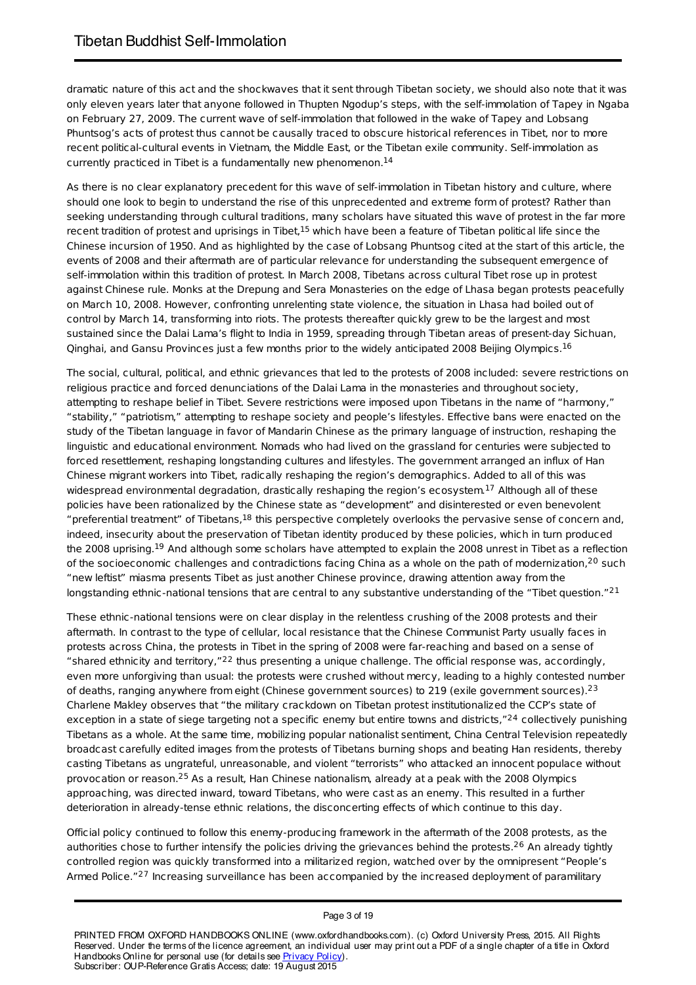dramatic nature of this act and the shockwaves that it sent through Tibetan society, we should also note that it was only eleven years later that anyone followed in Thupten Ngodup's steps, with the self-immolation of Tapey in Ngaba on February 27, 2009. The current wave of self-immolation that followed in the wake of Tapey and Lobsang Phuntsog's acts of protest thus cannot be causally traced to obscure historical references in Tibet, nor to more recent political-cultural events in Vietnam, the Middle East, or the Tibetan exile community. Self-immolation as currently practiced in Tibet is a fundamentally new phenomenon. 14

As there is no clear explanatory precedent for this wave of self-immolation in Tibetan history and culture, where should one look to begin to understand the rise of this unprecedented and extreme form of protest? Rather than seeking understanding through cultural traditions, many scholars have situated this wave of protest in the far more recent tradition of protest and uprisings in Tibet,<sup>15</sup> which have been a feature of Tibetan political life since the Chinese incursion of 1950. And as highlighted by the case of Lobsang Phuntsog cited at the start of this article, the events of 2008 and their aftermath are of particular relevance for understanding the subsequent emergence of self-immolation within this tradition of protest. In March 2008, Tibetans across cultural Tibet rose up in protest against Chinese rule. Monks at the Drepung and Sera Monasteries on the edge of Lhasa began protests peacefully on March 10, 2008. However, confronting unrelenting state violence, the situation in Lhasa had boiled out of control by March 14, transforming into riots. The protests thereafter quickly grew to be the largest and most sustained since the Dalai Lama's flight to India in 1959, spreading through Tibetan areas of present-day Sichuan, Qinghai, and Gansu Provinces just a few months prior to the widely anticipated 2008 Beijing Olympics.<sup>16</sup>

The social, cultural, political, and ethnic grievances that led to the protests of 2008 included: severe restrictions on religious practice and forced denunciations of the Dalai Lama in the monasteries and throughout society, attempting to reshape belief in Tibet. Severe restrictions were imposed upon Tibetans in the name of "harmony," "stability," "patriotism," attempting to reshape society and people's lifestyles. Effective bans were enacted on the study of the Tibetan language in favor of Mandarin Chinese as the primary language of instruction, reshaping the linguistic and educational environment. Nomads who had lived on the grassland for centuries were subjected to forced resettlement, reshaping longstanding cultures and lifestyles. The government arranged an influx of Han Chinese migrant workers into Tibet, radically reshaping the region's demographics. Added to all of this was widespread environmental degradation, drastically reshaping the region's ecosystem.<sup>17</sup> Although all of these policies have been rationalized by the Chinese state as "development" and disinterested or even benevolent "preferential treatment" of Tibetans, $^{18}$  this perspective completely overlooks the pervasive sense of concern and, indeed, insecurity about the preservation of Tibetan identity produced by these policies, which in turn produced the 2008 uprising.<sup>19</sup> And although some scholars have attempted to explain the 2008 unrest in Tibet as a reflection of the socioeconomic challenges and contradictions facing China as a whole on the path of modernization,<sup>20</sup> such "new leftist" miasma presents Tibet as just another Chinese province, drawing attention away from the longstanding ethnic-national tensions that are central to any substantive understanding of the "Tibet question."<sup>21</sup>

These ethnic-national tensions were on clear display in the relentless crushing of the 2008 protests and their aftermath. In contrast to the type of cellular, local resistance that the Chinese Communist Party usually faces in protests across China, the protests in Tibet in the spring of 2008 were far-reaching and based on a sense of "shared ethnicity and territory," $^{22}$  thus presenting a unique challenge. The official response was, accordingly, even more unforgiving than usual: the protests were crushed without mercy, leading to a highly contested number of deaths, ranging anywhere from eight (Chinese government sources) to 219 (exile government sources).<sup>23</sup> Charlene Makley observes that "the military crackdown on Tibetan protest institutionalized the CCP's state of exception in a state of siege targeting not a specific enemy but entire towns and districts,"<sup>24</sup> collectively punishing Tibetans as a whole. At the same time, mobilizing popular nationalist sentiment, China Central Television repeatedly broadcast carefully edited images from the protests of Tibetans burning shops and beating Han residents, thereby casting Tibetans as ungrateful, unreasonable, and violent "terrorists" who attacked an innocent populace without provocation or reason.<sup>25</sup> As a result, Han Chinese nationalism, already at a peak with the 2008 Olympics approaching, was directed inward, toward Tibetans, who were cast as an enemy. This resulted in a further deterioration in already-tense ethnic relations, the disconcerting effects of which continue to this day.

Official policy continued to follow this enemy-producing framework in the aftermath of the 2008 protests, as the authorities chose to further intensify the policies driving the grievances behind the protests.<sup>26</sup> An already tightly controlled region was quickly transformed into a militarized region, watched over by the omnipresent "People's Armed Police."<sup>27</sup> Increasing surveillance has been accompanied by the increased deployment of paramilitary

#### Page 3 of 19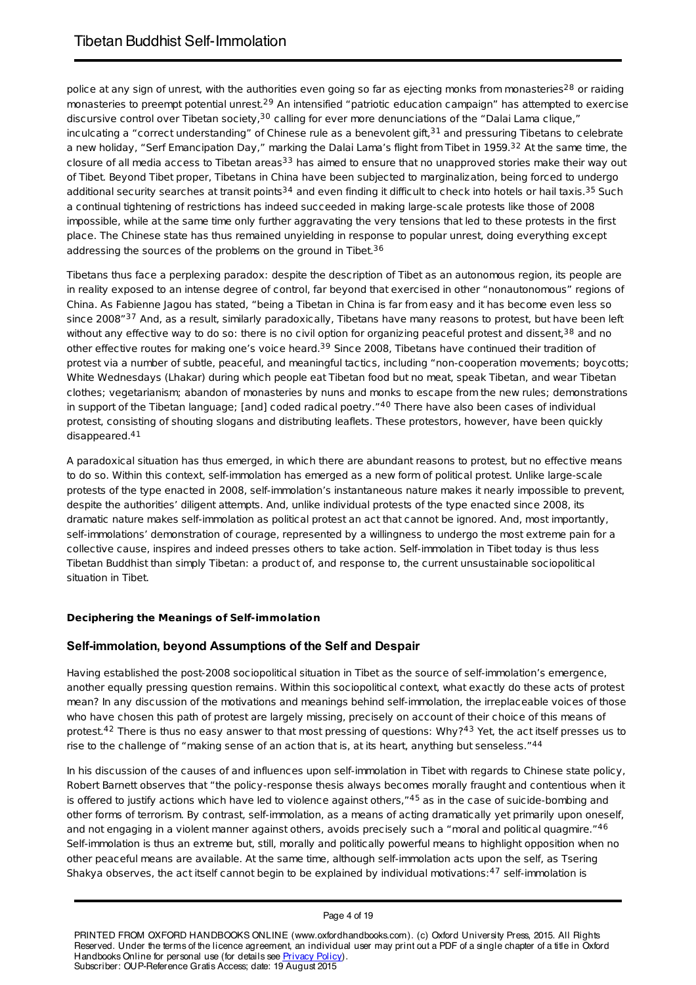police at any sign of unrest, with the authorities even going so far as ejecting monks from monasteries<sup>28</sup> or raiding monasteries to preempt potential unrest.<sup>29</sup> An intensified "patriotic education campaign" has attempted to exercise discursive control over Tibetan society, $^{30}$  calling for ever more denunciations of the "Dalai Lama clique," inculcating a "correct understanding" of Chinese rule as a benevolent gift, $^{31}$  and pressuring Tibetans to celebrate a new holiday, "Serf Emancipation Day," marking the Dalai Lama's flight from Tibet in 1959.<sup>32</sup> At the same time, the closure of all media access to Tibetan areas<sup>33</sup> has aimed to ensure that no unapproved stories make their way out of Tibet. Beyond Tibet proper, Tibetans in China have been subjected to marginalization, being forced to undergo additional security searches at transit points<sup>34</sup> and even finding it difficult to check into hotels or hail taxis.<sup>35</sup> Such a continual tightening of restrictions has indeed succeeded in making large-scale protests like those of 2008 impossible, while at the same time only further aggravating the very tensions that led to these protests in the first place. The Chinese state has thus remained unyielding in response to popular unrest, doing everything except addressing the sources of the problems on the ground in Tibet.<sup>36</sup>

Tibetans thus face a perplexing paradox: despite the description of Tibet as an autonomous region, its people are in reality exposed to an intense degree of control, far beyond that exercised in other "nonautonomous" regions of China. As Fabienne Jagou has stated, "being a Tibetan in China is far from easy and it has become even less so since 2008"<sup>37</sup> And, as a result, similarly paradoxically, Tibetans have many reasons to protest, but have been left without any effective way to do so: there is no civil option for organizing peaceful protest and dissent,<sup>38</sup> and no other effective routes for making one's voice heard.<sup>39</sup> Since 2008, Tibetans have continued their tradition of protest via a number of subtle, peaceful, and meaningful tactics, including "non-cooperation movements; boycotts; White Wednesdays (Lhakar) during which people eat Tibetan food but no meat, speak Tibetan, and wear Tibetan clothes; vegetarianism; abandon of monasteries by nuns and monks to escape from the new rules; demonstrations in support of the Tibetan language; [and] coded radical poetry."<sup>40</sup> There have also been cases of individual protest, consisting of shouting slogans and distributing leaflets. These protestors, however, have been quickly disappeared. 41

A paradoxical situation has thus emerged, in which there are abundant reasons to protest, but no effective means to do so. Within this context, self-immolation has emerged as a new form of political protest. Unlike large-scale protests of the type enacted in 2008, self-immolation's instantaneous nature makes it nearly impossible to prevent, despite the authorities' diligent attempts. And, unlike individual protests of the type enacted since 2008, its dramatic nature makes self-immolation as political protest an act that cannot be ignored. And, most importantly, self-immolations' demonstration of courage, represented by a willingness to undergo the most extreme pain for a collective cause, inspires and indeed presses others to take action. Self-immolation in Tibet today is thus less Tibetan Buddhist than simply Tibetan: a product of, and response to, the current unsustainable sociopolitical situation in Tibet.

# **Deciphering the Meanings of Self-immolation**

# **Self-immolation, beyond Assumptions of the Self and Despair**

Having established the post-2008 sociopolitical situation in Tibet as the source of self-immolation's emergence, another equally pressing question remains. Within this sociopolitical context, what exactly do these acts of protest mean? In any discussion of the motivations and meanings behind self-immolation, the irreplaceable voices of those who have chosen this path of protest are largely missing, precisely on account of their choice of this means of protest.<sup>42</sup> There is thus no easy answer to that most pressing of questions: Why?<sup>43</sup> Yet, the act itself presses us to rise to the challenge of "making sense of an action that is, at its heart, anything but senseless."<sup>44</sup>

In his discussion of the causes of and influences upon self-immolation in Tibet with regards to Chinese state policy, Robert Barnett observes that "the policy-response thesis always becomes morally fraught and contentious when it is offered to justify actions which have led to violence against others,"45 as in the case of suicide-bombing and other forms of terrorism. By contrast, self-immolation, as a means of acting dramatically yet primarily upon oneself, and not engaging in a violent manner against others, avoids precisely such a "moral and political quagmire."<sup>46</sup> Self-immolation is thus an extreme but, still, morally and politically powerful means to highlight opposition when no other peaceful means are available. At the same time, although self-immolation acts upon the self, as Tsering Shakya observes, the act itself cannot begin to be explained by individual motivations: <sup>47</sup> self-immolation is

Page 4 of 19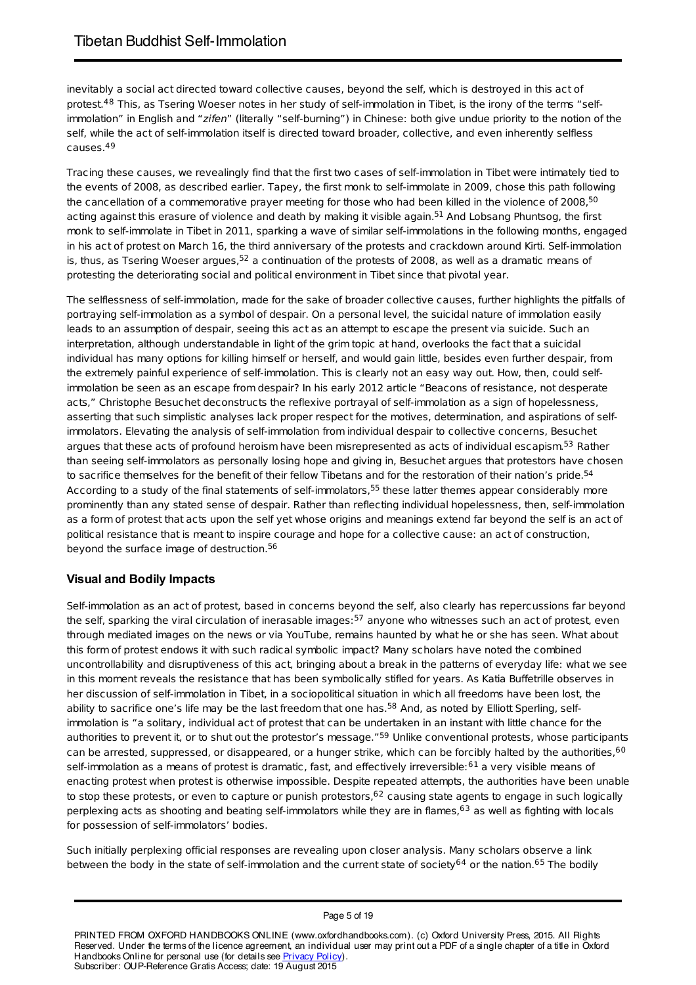inevitably a social act directed toward collective causes, beyond the self, which is destroyed in this act of protest.<sup>48</sup> This, as Tsering Woeser notes in her study of self-immolation in Tibet, is the irony of the terms "selfimmolation" in English and "zifen" (literally "self-burning") in Chinese: both give undue priority to the notion of the self, while the act of self-immolation itself is directed toward broader, collective, and even inherently selfless causes. 49

Tracing these causes, we revealingly find that the first two cases of self-immolation in Tibet were intimately tied to the events of 2008, as described earlier. Tapey, the first monk to self-immolate in 2009, chose this path following the cancellation of a commemorative prayer meeting for those who had been killed in the violence of 2008,<sup>50</sup> acting against this erasure of violence and death by making it visible again.<sup>51</sup> And Lobsang Phuntsog, the first monk to self-immolate in Tibet in 2011, sparking a wave of similar self-immolations in the following months, engaged in his act of protest on March 16, the third anniversary of the protests and crackdown around Kirti. Self-immolation is, thus, as Tsering Woeser argues, $^{52}$  a continuation of the protests of 2008, as well as a dramatic means of protesting the deteriorating social and political environment in Tibet since that pivotal year.

The selflessness of self-immolation, made for the sake of broader collective causes, further highlights the pitfalls of portraying self-immolation as a symbol of despair. On a personal level, the suicidal nature of immolation easily leads to an assumption of despair, seeing this act as an attempt to escape the present via suicide. Such an interpretation, although understandable in light of the grim topic at hand, overlooks the fact that a suicidal individual has many options for killing himself or herself, and would gain little, besides even further despair, from the extremely painful experience of self-immolation. This is clearly not an easy way out. How, then, could selfimmolation be seen as an escape from despair? In his early 2012 article "Beacons of resistance, not desperate acts," Christophe Besuchet deconstructs the reflexive portrayal of self-immolation as a sign of hopelessness, asserting that such simplistic analyses lack proper respect for the motives, determination, and aspirations of selfimmolators. Elevating the analysis of self-immolation from individual despair to collective concerns, Besuchet argues that these acts of profound heroism have been misrepresented as acts of individual escapism.<sup>53</sup> Rather than seeing self-immolators as personally losing hope and giving in, Besuchet argues that protestors have chosen to sacrifice themselves for the benefit of their fellow Tibetans and for the restoration of their nation's pride.<sup>54</sup> According to a study of the final statements of self-immolators,<sup>55</sup> these latter themes appear considerably more prominently than any stated sense of despair. Rather than reflecting individual hopelessness, then, self-immolation as a form of protest that acts upon the self yet whose origins and meanings extend far beyond the self is an act of political resistance that is meant to inspire courage and hope for a collective cause: an act of construction, beyond the surface image of destruction. 56

# **Visual and Bodily Impacts**

Self-immolation as an act of protest, based in concerns beyond the self, also clearly has repercussions far beyond the self, sparking the viral circulation of inerasable images: $^{57}$  anyone who witnesses such an act of protest, even through mediated images on the news or via YouTube, remains haunted by what he or she has seen. What about this form of protest endows it with such radical symbolic impact? Many scholars have noted the combined uncontrollability and disruptiveness of this act, bringing about a break in the patterns of everyday life: what we see in this moment reveals the resistance that has been symbolically stifled for years. As Katia Buffetrille observes in her discussion of self-immolation in Tibet, in a sociopolitical situation in which all freedoms have been lost, the ability to sacrifice one's life may be the last freedom that one has.<sup>58</sup> And, as noted by Elliott Sperling, selfimmolation is "a solitary, individual act of protest that can be undertaken in an instant with little chance for the authorities to prevent it, or to shut out the protestor's message."<sup>59</sup> Unlike conventional protests, whose participants can be arrested, suppressed, or disappeared, or a hunger strike, which can be forcibly halted by the authorities,<sup>60</sup> self-immolation as a means of protest is dramatic, fast, and effectively irreversible:<sup>61</sup> a very visible means of enacting protest when protest is otherwise impossible. Despite repeated attempts, the authorities have been unable to stop these protests, or even to capture or punish protestors,<sup>62</sup> causing state agents to engage in such logically perplexing acts as shooting and beating self-immolators while they are in flames,<sup>63</sup> as well as fighting with locals for possession of self-immolators' bodies.

Such initially perplexing official responses are revealing upon closer analysis. Many scholars observe a link between the body in the state of self-immolation and the current state of society<sup>64</sup> or the nation.<sup>65</sup> The bodily

#### PRINTED FROM OXFORD HANDBOOKS ONLINE (www.oxfordhandbooks.com). (c) Oxford University Press, 2015. All Rights Reserved. Under the terms of the licence agreement, an individual user may print out a PDF of a single chapter of a title in Oxford Handbooks Online for personal use (for details see **Privacy Policy**). Subscriber: OUP-Reference Gratis Access; date: 19 August 2015

#### Page 5 of 19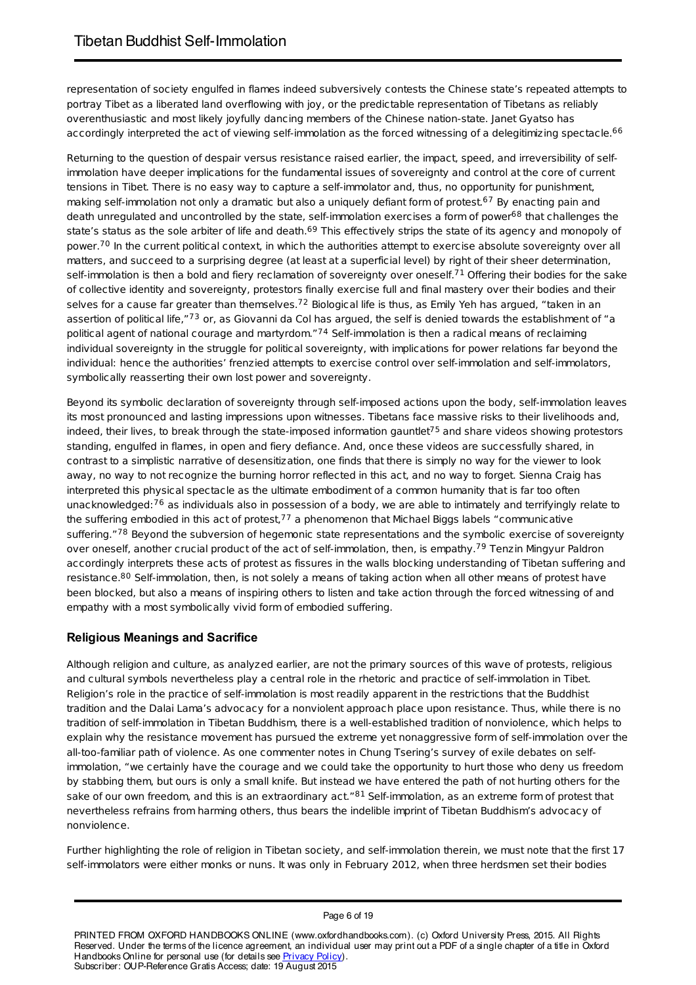representation of society engulfed in flames indeed subversively contests the Chinese state's repeated attempts to portray Tibet as a liberated land overflowing with joy, or the predictable representation of Tibetans as reliably overenthusiastic and most likely joyfully dancing members of the Chinese nation-state. Janet Gyatso has accordingly interpreted the act of viewing self-immolation as the forced witnessing of a delegitimizing spectacle.<sup>66</sup>

Returning to the question of despair versus resistance raised earlier, the impact, speed, and irreversibility of selfimmolation have deeper implications for the fundamental issues of sovereignty and control at the core of current tensions in Tibet. There is no easy way to capture a self-immolator and, thus, no opportunity for punishment, making self-immolation not only a dramatic but also a uniquely defiant form of protest.<sup>67</sup> By enacting pain and death unregulated and uncontrolled by the state, self-immolation exercises a form of power<sup>68</sup> that challenges the state's status as the sole arbiter of life and death.<sup>69</sup> This effectively strips the state of its agency and monopoly of power.<sup>70</sup> In the current political context, in which the authorities attempt to exercise absolute sovereignty over all matters, and succeed to a surprising degree (at least at a superficial level) by right of their sheer determination, self-immolation is then a bold and fiery reclamation of sovereignty over oneself.<sup>71</sup> Offering their bodies for the sake of collective identity and sovereignty, protestors finally exercise full and final mastery over their bodies and their selves for a cause far greater than themselves.<sup>72</sup> Biological life is thus, as Emily Yeh has argued, "taken in an assertion of political life,"<sup>73</sup> or, as Giovanni da Col has argued, the self is denied towards the establishment of "a political agent of national courage and martyrdom."<sup>74</sup> Self-immolation is then a radical means of reclaiming individual sovereignty in the struggle for political sovereignty, with implications for power relations far beyond the individual: hence the authorities' frenzied attempts to exercise control over self-immolation and self-immolators, symbolically reasserting their own lost power and sovereignty.

Beyond its symbolic declaration of sovereignty through self-imposed actions upon the body, self-immolation leaves its most pronounced and lasting impressions upon witnesses. Tibetans face massive risks to their livelihoods and, indeed, their lives, to break through the state-imposed information gauntlet<sup>75</sup> and share videos showing protestors standing, engulfed in flames, in open and fiery defiance. And, once these videos are successfully shared, in contrast to a simplistic narrative of desensitization, one finds that there is simply no way for the viewer to look away, no way to not recognize the burning horror reflected in this act, and no way to forget. Sienna Craig has interpreted this physical spectacle as the ultimate embodiment of a common humanity that is far too often unacknowledged: $^{76}$  as individuals also in possession of a body, we are able to intimately and terrifyingly relate to the suffering embodied in this act of protest, $^{77}$  a phenomenon that Michael Biggs labels "communicative suffering."78 Beyond the subversion of hegemonic state representations and the symbolic exercise of sovereignty over oneself, another crucial product of the act of self-immolation, then, is empathy.<sup>79</sup> Tenzin Mingyur Paldron accordingly interprets these acts of protest as fissures in the walls blocking understanding of Tibetan suffering and resistance.<sup>80</sup> Self-immolation, then, is not solely a means of taking action when all other means of protest have been blocked, but also a means of inspiring others to listen and take action through the forced witnessing of and empathy with a most symbolically vivid form of embodied suffering.

# **Religious Meanings and Sacrifice**

Although religion and culture, as analyzed earlier, are not the primary sources of this wave of protests, religious and cultural symbols nevertheless play a central role in the rhetoric and practice of self-immolation in Tibet. Religion's role in the practice of self-immolation is most readily apparent in the restrictions that the Buddhist tradition and the Dalai Lama's advocacy for a nonviolent approach place upon resistance. Thus, while there is no tradition of self-immolation in Tibetan Buddhism, there is a well-established tradition of nonviolence, which helps to explain why the resistance movement has pursued the extreme yet nonaggressive form of self-immolation over the all-too-familiar path of violence. As one commenter notes in Chung Tsering's survey of exile debates on selfimmolation, "we certainly have the courage and we could take the opportunity to hurt those who deny us freedom by stabbing them, but ours is only a small knife. But instead we have entered the path of not hurting others for the sake of our own freedom, and this is an extraordinary act."<sup>81</sup> Self-immolation, as an extreme form of protest that nevertheless refrains from harming others, thus bears the indelible imprint of Tibetan Buddhism's advocacy of nonviolence.

Further highlighting the role of religion in Tibetan society, and self-immolation therein, we must note that the first 17 self-immolators were either monks or nuns. It was only in February 2012, when three herdsmen set their bodies

#### Page 6 of 19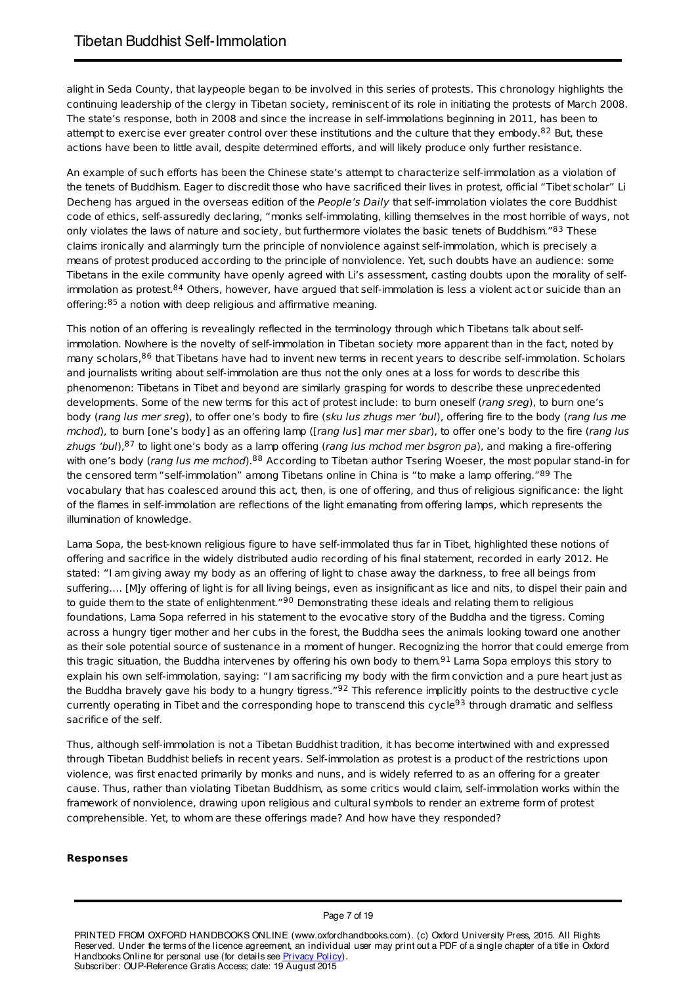alight in Seda County, that laypeople began to be involved in this series of protests. This chronology highlights the continuing leadership of the clergy in Tibetan society, reminiscent of its role in initiating the protests of March 2008. The state's response, both in 2008 and since the increase in self-immolations beginning in 2011, has been to attempt to exercise ever greater control over these institutions and the culture that they embody. $^{82}$  But, these actions have been to little avail, despite determined efforts, and will likely produce only further resistance.

An example of such efforts has been the Chinese state's attempt to characterize self-immolation as a violation of the tenets of Buddhism. Eager to discredit those who have sacrificed their lives in protest, official "Tibet scholar" Li Decheng has argued in the overseas edition of the People's Daily that self-immolation violates the core Buddhist code of ethics, self-assuredly declaring, "monks self-immolating, killing themselves in the most horrible of ways, not only violates the laws of nature and society, but furthermore violates the basic tenets of Buddhism."<sup>83</sup> These claims ironically and alarmingly turn the principle of nonviolence against self-immolation, which is precisely a means of protest produced according to the principle of nonviolence. Yet, such doubts have an audience: some Tibetans in the exile community have openly agreed with Li's assessment, casting doubts upon the morality of selfimmolation as protest.<sup>84</sup> Others, however, have argued that self-immolation is less a violent act or suicide than an offering:<sup>85</sup> a notion with deep religious and affirmative meaning.

This notion of an offering is revealingly reflected in the terminology through which Tibetans talk about selfimmolation. Nowhere is the novelty of self-immolation in Tibetan society more apparent than in the fact, noted by many scholars,<sup>86</sup> that Tibetans have had to invent new terms in recent years to describe self-immolation. Scholars and journalists writing about self-immolation are thus not the only ones at a loss for words to describe this phenomenon: Tibetans in Tibet and beyond are similarly grasping for words to describe these unprecedented developments. Some of the new terms for this act of protest include: to burn oneself (rang sreg), to burn one's body (rang lus mer sreg), to offer one's body to fire (sku lus zhugs mer 'bul), offering fire to the body (rang lus me mchod), to burn [one's body] as an offering lamp ([rang lus] mar mer sbar), to offer one's body to the fire (rang lus zhugs 'bul),<sup>87</sup> to light one's body as a lamp offering (rang lus mchod mer bsgron pa), and making a fire-offering with one's body (*rang lus me mchod*).<sup>88</sup> According to Tibetan author Tsering Woeser, the most popular stand-in for the censored term "self-immolation" among Tibetans online in China is "to make a lamp offering."89 The vocabulary that has coalesced around this act, then, is one of offering, and thus of religious significance: the light of the flames in self-immolation are reflections of the light emanating from offering lamps, which represents the illumination of knowledge.

Lama Sopa, the best-known religious figure to have self-immolated thus far in Tibet, highlighted these notions of offering and sacrifice in the widely distributed audio recording of his final statement, recorded in early 2012. He stated: "I am giving away my body as an offering of light to chase away the darkness, to free all beings from suffering…. [M]y offering of light is for all living beings, even as insignificant as lice and nits, to dispel their pain and to guide them to the state of enlightenment." $^{90}$  Demonstrating these ideals and relating them to religious foundations, Lama Sopa referred in his statement to the evocative story of the Buddha and the tigress. Coming across a hungry tiger mother and her cubs in the forest, the Buddha sees the animals looking toward one another as their sole potential source of sustenance in a moment of hunger. Recognizing the horror that could emerge from this tragic situation, the Buddha intervenes by offering his own body to them.<sup>91</sup> Lama Sopa employs this story to explain his own self-immolation, saying: "I am sacrificing my body with the firm conviction and a pure heart just as the Buddha bravely gave his body to a hungry tigress."<sup>92</sup> This reference implicitly points to the destructive cycle currently operating in Tibet and the corresponding hope to transcend this cycle<sup>93</sup> through dramatic and selfless sacrifice of the self.

Thus, although self-immolation is not a Tibetan Buddhist tradition, it has become intertwined with and expressed through Tibetan Buddhist beliefs in recent years. Self-immolation as protest is a product of the restrictions upon violence, was first enacted primarily by monks and nuns, and is widely referred to as an offering for a greater cause. Thus, rather than violating Tibetan Buddhism, as some critics would claim, self-immolation works within the framework of nonviolence, drawing upon religious and cultural symbols to render an extreme form of protest comprehensible. Yet, to whom are these offerings made? And how have they responded?

#### **Responses**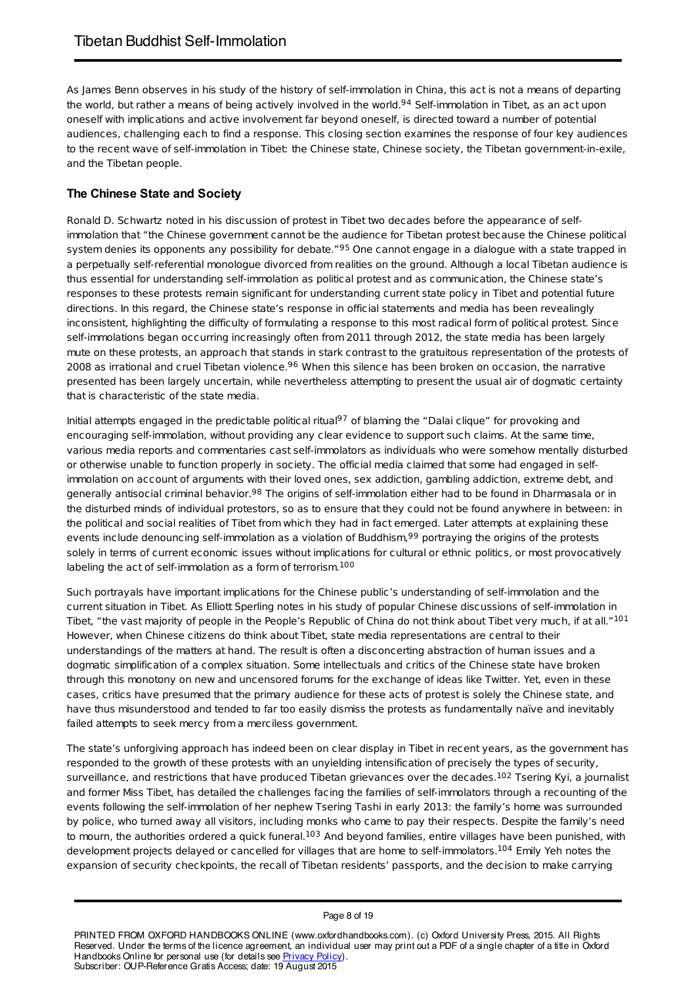As James Benn observes in his study of the history of self-immolation in China, this act is not a means of departing the world, but rather a means of being actively involved in the world.<sup>94</sup> Self-immolation in Tibet, as an act upon oneself with implications and active involvement far beyond oneself, is directed toward a number of potential audiences, challenging each to find a response. This closing section examines the response of four key audiences to the recent wave of self-immolation in Tibet: the Chinese state, Chinese society, the Tibetan government-in-exile, and the Tibetan people.

# **The Chinese State and Society**

Ronald D. Schwartz noted in his discussion of protest in Tibet two decades before the appearance of selfimmolation that "the Chinese government cannot be the audience for Tibetan protest because the Chinese political system denies its opponents any possibility for debate."<sup>95</sup> One cannot engage in a dialogue with a state trapped in a perpetually self-referential monologue divorced from realities on the ground. Although a local Tibetan audience is thus essential for understanding self-immolation as political protest and as communication, the Chinese state's responses to these protests remain significant for understanding current state policy in Tibet and potential future directions. In this regard, the Chinese state's response in official statements and media has been revealingly inconsistent, highlighting the difficulty of formulating a response to this most radical form of political protest. Since self-immolations began occurring increasingly often from 2011 through 2012, the state media has been largely mute on these protests, an approach that stands in stark contrast to the gratuitous representation of the protests of 2008 as irrational and cruel Tibetan violence.<sup>96</sup> When this silence has been broken on occasion, the narrative presented has been largely uncertain, while nevertheless attempting to present the usual air of dogmatic certainty that is characteristic of the state media.

Initial attempts engaged in the predictable political ritual<sup>97</sup> of blaming the "Dalai clique" for provoking and encouraging self-immolation, without providing any clear evidence to support such claims. At the same time, various media reports and commentaries cast self-immolators as individuals who were somehow mentally disturbed or otherwise unable to function properly in society. The official media claimed that some had engaged in selfimmolation on account of arguments with their loved ones, sex addiction, gambling addiction, extreme debt, and generally antisocial criminal behavior.<sup>98</sup> The origins of self-immolation either had to be found in Dharmasala or in the disturbed minds of individual protestors, so as to ensure that they could not be found anywhere in between: in the political and social realities of Tibet from which they had in fact emerged. Later attempts at explaining these events include denouncing self-immolation as a violation of Buddhism,<sup>99</sup> portraying the origins of the protests solely in terms of current economic issues without implications for cultural or ethnic politics, or most provocatively labeling the act of self-immolation as a form of terrorism. 100

Such portrayals have important implications for the Chinese public's understanding of self-immolation and the current situation in Tibet. As Elliott Sperling notes in his study of popular Chinese discussions of self-immolation in Tibet, "the vast majority of people in the People's Republic of China do not think about Tibet very much, if at all."<sup>101</sup> However, when Chinese citizens do think about Tibet, state media representations are central to their understandings of the matters at hand. The result is often a disconcerting abstraction of human issues and a dogmatic simplification of a complex situation. Some intellectuals and critics of the Chinese state have broken through this monotony on new and uncensored forums for the exchange of ideas like Twitter. Yet, even in these cases, critics have presumed that the primary audience for these acts of protest is solely the Chinese state, and have thus misunderstood and tended to far too easily dismiss the protests as fundamentally naïve and inevitably failed attempts to seek mercy from a merciless government.

The state's unforgiving approach has indeed been on clear display in Tibet in recent years, as the government has responded to the growth of these protests with an unyielding intensification of precisely the types of security, surveillance, and restrictions that have produced Tibetan grievances over the decades. $^{102}$  Tsering Kyi, a journalist and former Miss Tibet, has detailed the challenges facing the families of self-immolators through a recounting of the events following the self-immolation of her nephew Tsering Tashi in early 2013: the family's home was surrounded by police, who turned away all visitors, including monks who came to pay their respects. Despite the family's need to mourn, the authorities ordered a quick funeral.<sup>103</sup> And beyond families, entire villages have been punished, with development projects delayed or cancelled for villages that are home to self-immolators.<sup>104</sup> Emily Yeh notes the expansion of security checkpoints, the recall of Tibetan residents' passports, and the decision to make carrying

#### Page 8 of 19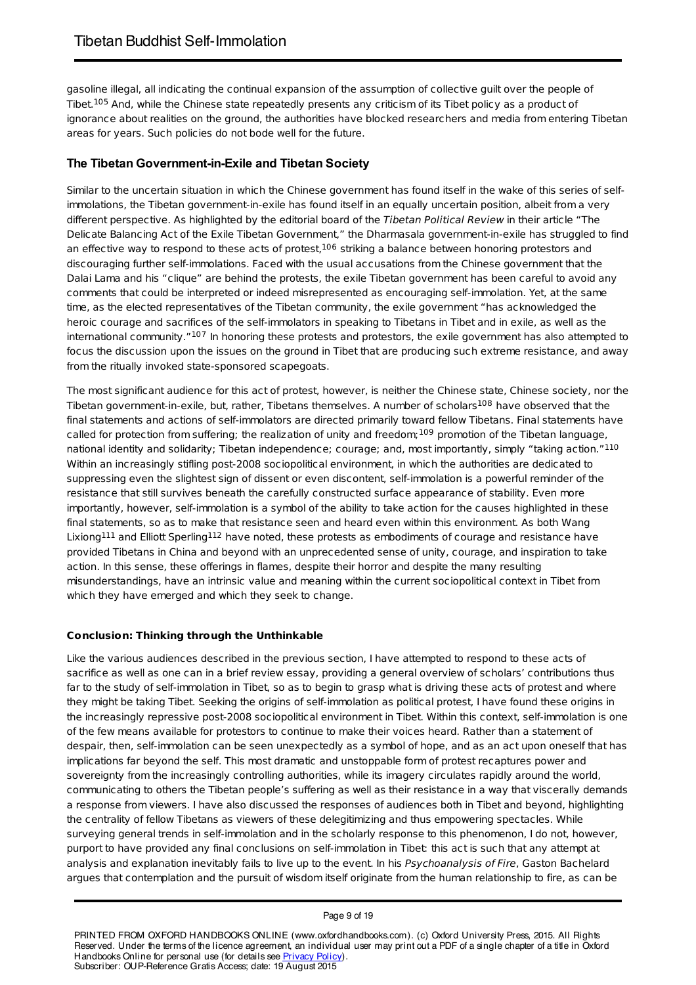gasoline illegal, all indicating the continual expansion of the assumption of collective guilt over the people of Tibet.<sup>105</sup> And, while the Chinese state repeatedly presents any criticism of its Tibet policy as a product of ignorance about realities on the ground, the authorities have blocked researchers and media from entering Tibetan areas for years. Such policies do not bode well for the future.

# **The Tibetan Government-in-Exile and Tibetan Society**

Similar to the uncertain situation in which the Chinese government has found itself in the wake of this series of selfimmolations, the Tibetan government-in-exile has found itself in an equally uncertain position, albeit from a very different perspective. As highlighted by the editorial board of the Tibetan Political Review in their article "The Delicate Balancing Act of the Exile Tibetan Government," the Dharmasala government-in-exile has struggled to find an effective way to respond to these acts of protest,<sup>106</sup> striking a balance between honoring protestors and discouraging further self-immolations. Faced with the usual accusations from the Chinese government that the Dalai Lama and his "clique" are behind the protests, the exile Tibetan government has been careful to avoid any comments that could be interpreted or indeed misrepresented as encouraging self-immolation. Yet, at the same time, as the elected representatives of the Tibetan community, the exile government "has acknowledged the heroic courage and sacrifices of the self-immolators in speaking to Tibetans in Tibet and in exile, as well as the international community."<sup>107</sup> In honoring these protests and protestors, the exile government has also attempted to focus the discussion upon the issues on the ground in Tibet that are producing such extreme resistance, and away from the ritually invoked state-sponsored scapegoats.

The most significant audience for this act of protest, however, is neither the Chinese state, Chinese society, nor the Tibetan government-in-exile, but, rather, Tibetans themselves. A number of scholars<sup>108</sup> have observed that the final statements and actions of self-immolators are directed primarily toward fellow Tibetans. Final statements have called for protection from suffering; the realization of unity and freedom; 109 promotion of the Tibetan language, national identity and solidarity; Tibetan independence; courage; and, most importantly, simply "taking action."<sup>110</sup> Within an increasingly stifling post-2008 sociopolitical environment, in which the authorities are dedicated to suppressing even the slightest sign of dissent or even discontent, self-immolation is a powerful reminder of the resistance that still survives beneath the carefully constructed surface appearance of stability. Even more importantly, however, self-immolation is a symbol of the ability to take action for the causes highlighted in these final statements, so as to make that resistance seen and heard even within this environment. As both Wang Lixiong $^{111}$  and Elliott Sperling $^{112}$  have noted, these protests as embodiments of courage and resistance have provided Tibetans in China and beyond with an unprecedented sense of unity, courage, and inspiration to take action. In this sense, these offerings in flames, despite their horror and despite the many resulting misunderstandings, have an intrinsic value and meaning within the current sociopolitical context in Tibet from which they have emerged and which they seek to change.

### **Conclusion: Thinking through the Unthinkable**

Like the various audiences described in the previous section, I have attempted to respond to these acts of sacrifice as well as one can in a brief review essay, providing a general overview of scholars' contributions thus far to the study of self-immolation in Tibet, so as to begin to grasp what is driving these acts of protest and where they might be taking Tibet. Seeking the origins of self-immolation as political protest, I have found these origins in the increasingly repressive post-2008 sociopolitical environment in Tibet. Within this context, self-immolation is one of the few means available for protestors to continue to make their voices heard. Rather than a statement of despair, then, self-immolation can be seen unexpectedly as a symbol of hope, and as an act upon oneself that has implications far beyond the self. This most dramatic and unstoppable form of protest recaptures power and sovereignty from the increasingly controlling authorities, while its imagery circulates rapidly around the world, communicating to others the Tibetan people's suffering as well as their resistance in a way that viscerally demands a response from viewers. I have also discussed the responses of audiences both in Tibet and beyond, highlighting the centrality of fellow Tibetans as viewers of these delegitimizing and thus empowering spectacles. While surveying general trends in self-immolation and in the scholarly response to this phenomenon, I do not, however, purport to have provided any final conclusions on self-immolation in Tibet: this act is such that any attempt at analysis and explanation inevitably fails to live up to the event. In his Psychoanalysis of Fire, Gaston Bachelard argues that contemplation and the pursuit of wisdom itself originate from the human relationship to fire, as can be

#### Page 9 of 19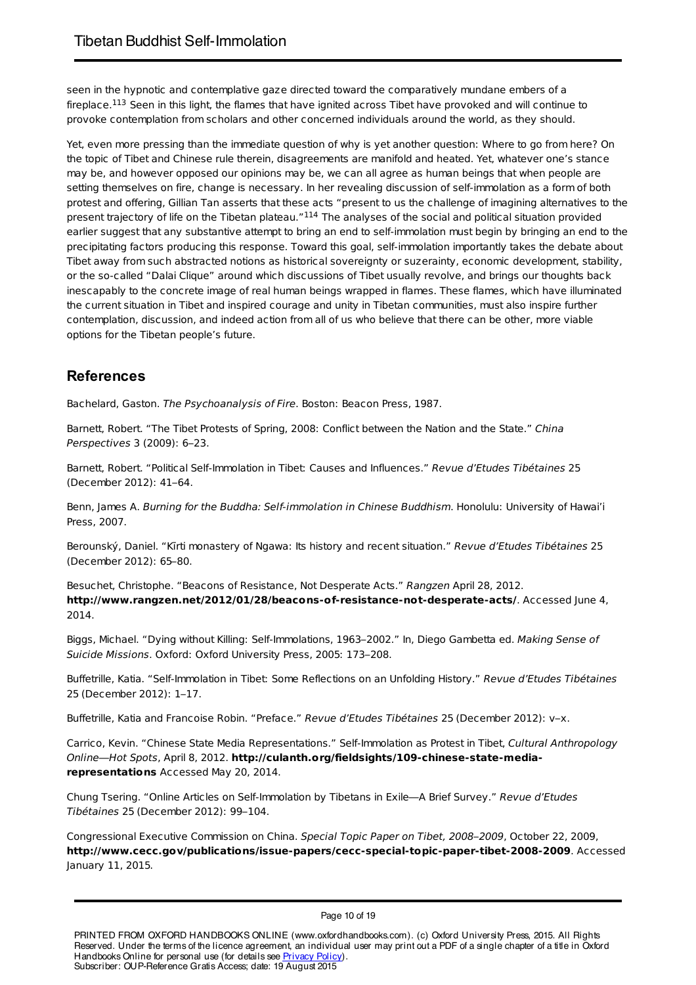seen in the hypnotic and contemplative gaze directed toward the comparatively mundane embers of a fireplace.<sup>113</sup> Seen in this light, the flames that have ignited across Tibet have provoked and will continue to provoke contemplation from scholars and other concerned individuals around the world, as they should.

Yet, even more pressing than the immediate question of why is yet another question: Where to go from here? On the topic of Tibet and Chinese rule therein, disagreements are manifold and heated. Yet, whatever one's stance may be, and however opposed our opinions may be, we can all agree as human beings that when people are setting themselves on fire, change is necessary. In her revealing discussion of self-immolation as a form of both protest and offering, Gillian Tan asserts that these acts "present to us the challenge of imagining alternatives to the present trajectory of life on the Tibetan plateau."<sup>114</sup> The analyses of the social and political situation provided earlier suggest that any substantive attempt to bring an end to self-immolation must begin by bringing an end to the precipitating factors producing this response. Toward this goal, self-immolation importantly takes the debate about Tibet away from such abstracted notions as historical sovereignty or suzerainty, economic development, stability, or the so-called "Dalai Clique" around which discussions of Tibet usually revolve, and brings our thoughts back inescapably to the concrete image of real human beings wrapped in flames. These flames, which have illuminated the current situation in Tibet and inspired courage and unity in Tibetan communities, must also inspire further contemplation, discussion, and indeed action from all of us who believe that there can be other, more viable options for the Tibetan people's future.

# **References**

Bachelard, Gaston. The Psychoanalysis of Fire. Boston: Beacon Press, 1987.

Barnett, Robert. "The Tibet Protests of Spring, 2008: Conflict between the Nation and the State." China Perspectives 3 (2009): 6–23.

Barnett, Robert. "Political Self-Immolation in Tibet: Causes and Influences." Revue d'Etudes Tibétaines 25 (December 2012): 41–64.

Benn, James A. Burning for the Buddha: Self-immolation in Chinese Buddhism. Honolulu: University of Hawai'i Press, 2007.

Berounský, Daniel. "Kīrti monastery of Ngawa: Its history and recent situation." Revue d'Etudes Tibétaines 25 (December 2012): 65–80.

Besuchet, Christophe. "Beacons of Resistance, Not Desperate Acts." Rangzen April 28, 2012. **http://www.rangzen.net/2012/01/28/beacons-of-resistance-not-desperate-acts/**. Accessed June 4, 2014.

Biggs, Michael. "Dying without Killing: Self-Immolations, 1963–2002." In, Diego Gambetta ed. Making Sense of Suicide Missions. Oxford: Oxford University Press, 2005: 173–208.

Buffetrille, Katia. "Self-Immolation in Tibet: Some Reflections on an Unfolding History." Revue d'Etudes Tibétaines 25 (December 2012): 1–17.

Buffetrille, Katia and Francoise Robin. "Preface." Revue d'Etudes Tibétaines 25 (December 2012): v-x.

Carrico, Kevin. "Chinese State Media Representations." Self-Immolation as Protest in Tibet, Cultural Anthropology Online—Hot Spots, April 8, 2012. **http://culanth.org/fieldsights/109-chinese-state-mediarepresentations** Accessed May 20, 2014.

Chung Tsering. "Online Articles on Self-Immolation by Tibetans in Exile—A Brief Survey." Revue d'Etudes Tibétaines 25 (December 2012): 99–104.

Congressional Executive Commission on China. Special Topic Paper on Tibet, 2008–2009, October 22, 2009, **http://www.cecc.gov/publications/issue-papers/cecc-special-topic-paper-tibet-2008-2009**. Accessed January 11, 2015.

Page 10 of 19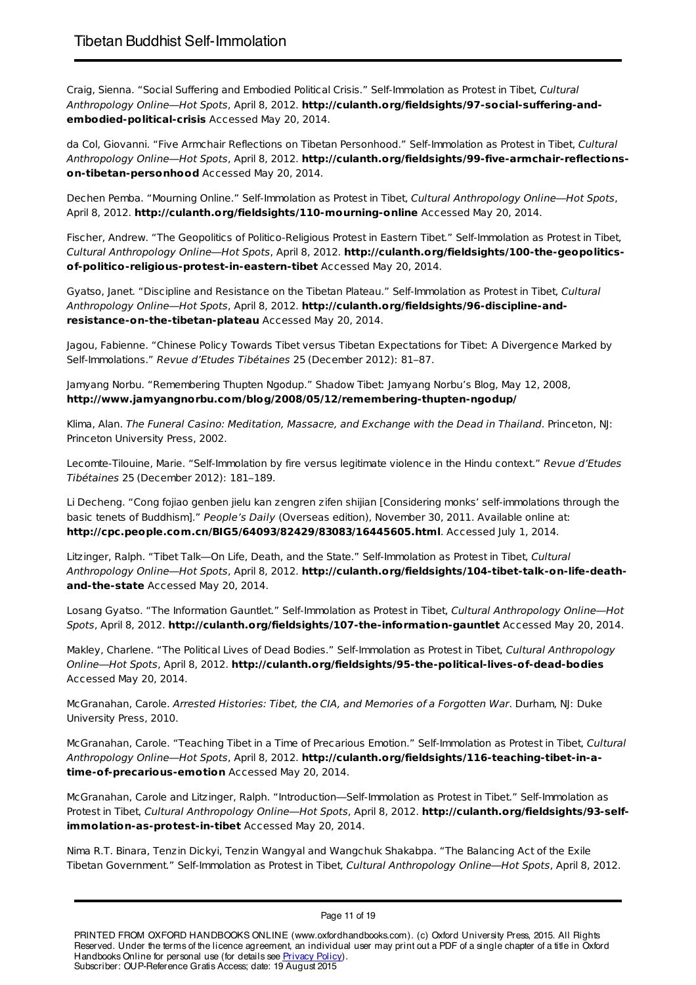Craig, Sienna. "Social Suffering and Embodied Political Crisis." Self-Immolation as Protest in Tibet, Cultural Anthropology Online—Hot Spots, April 8, 2012. **http://culanth.org/fieldsights/97-social-suffering-andembodied-political-crisis** Accessed May 20, 2014.

da Col, Giovanni. "Five Armchair Reflections on Tibetan Personhood." Self-Immolation as Protest in Tibet, Cultural Anthropology Online—Hot Spots, April 8, 2012. **http://culanth.org/fieldsights/99-five-armchair-reflectionson-tibetan-personhood** Accessed May 20, 2014.

Dechen Pemba. "Mourning Online." Self-Immolation as Protest in Tibet, Cultural Anthropology Online—Hot Spots, April 8, 2012. **http://culanth.org/fieldsights/110-mourning-online** Accessed May 20, 2014.

Fischer, Andrew. "The Geopolitics of Politico-Religious Protest in Eastern Tibet." Self-Immolation as Protest in Tibet, Cultural Anthropology Online—Hot Spots, April 8, 2012. **http://culanth.org/fieldsights/100-the-geopoliticsof-politico-religious-protest-in-eastern-tibet** Accessed May 20, 2014.

Gyatso, Janet. "Discipline and Resistance on the Tibetan Plateau." Self-Immolation as Protest in Tibet, Cultural Anthropology Online—Hot Spots, April 8, 2012. **http://culanth.org/fieldsights/96-discipline-andresistance-on-the-tibetan-plateau** Accessed May 20, 2014.

Jagou, Fabienne. "Chinese Policy Towards Tibet versus Tibetan Expectations for Tibet: A Divergence Marked by Self-Immolations." Revue d'Etudes Tibétaines 25 (December 2012): 81–87.

Jamyang Norbu. "Remembering Thupten Ngodup." Shadow Tibet: Jamyang Norbu's Blog, May 12, 2008, **http://www.jamyangnorbu.com/blog/2008/05/12/remembering-thupten-ngodup/**

Klima, Alan. The Funeral Casino: Meditation, Massacre, and Exchange with the Dead in Thailand. Princeton, NJ: Princeton University Press, 2002.

Lecomte-Tilouine, Marie. "Self-Immolation by fire versus legitimate violence in the Hindu context." Revue d'Etudes Tibétaines 25 (December 2012): 181–189.

Li Decheng. "Cong fojiao genben jielu kan zengren zifen shijian [Considering monks' self-immolations through the basic tenets of Buddhism]." People's Daily (Overseas edition), November 30, 2011. Available online at: **http://cpc.people.com.cn/BIG5/64093/82429/83083/16445605.html**. Accessed July 1, 2014.

Litzinger, Ralph. "Tibet Talk-On Life, Death, and the State." Self-Immolation as Protest in Tibet, Cultural Anthropology Online—Hot Spots, April 8, 2012. **http://culanth.org/fieldsights/104-tibet-talk-on-life-deathand-the-state** Accessed May 20, 2014.

Losang Gyatso. "The Information Gauntlet." Self-Immolation as Protest in Tibet, Cultural Anthropology Online—Hot Spots, April 8, 2012. **http://culanth.org/fieldsights/107-the-information-gauntlet** Accessed May 20, 2014.

Makley, Charlene. "The Political Lives of Dead Bodies." Self-Immolation as Protest in Tibet, Cultural Anthropology Online—Hot Spots, April 8, 2012. **http://culanth.org/fieldsights/95-the-political-lives-of-dead-bodies** Accessed May 20, 2014.

McGranahan, Carole. Arrested Histories: Tibet, the CIA, and Memories of a Forgotten War. Durham, NJ: Duke University Press, 2010.

McGranahan, Carole. "Teaching Tibet in a Time of Precarious Emotion." Self-Immolation as Protest in Tibet, Cultural Anthropology Online—Hot Spots, April 8, 2012. **http://culanth.org/fieldsights/116-teaching-tibet-in-atime-of-precarious-emotion** Accessed May 20, 2014.

McGranahan, Carole and Litzinger, Ralph. "Introduction—Self-Immolation as Protest in Tibet." Self-Immolation as Protest in Tibet, Cultural Anthropology Online—Hot Spots, April 8, 2012. **http://culanth.org/fieldsights/93-selfimmolation-as-protest-in-tibet** Accessed May 20, 2014.

Nima R.T. Binara, Tenzin Dickyi, Tenzin Wangyal and Wangchuk Shakabpa. "The Balancing Act of the Exile Tibetan Government." Self-Immolation as Protest in Tibet, Cultural Anthropology Online—Hot Spots, April 8, 2012.

#### Page 11 of 19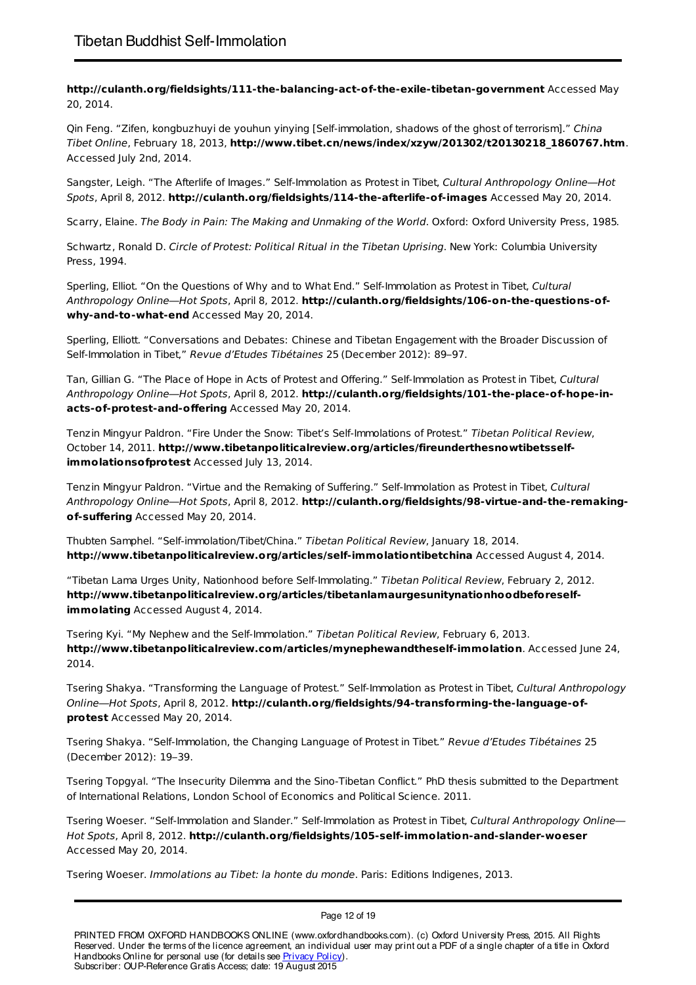**http://culanth.org/fieldsights/111-the-balancing-act-of-the-exile-tibetan-government** Accessed May 20, 2014.

Qin Feng. "Zifen, kongbuzhuyi de youhun yinying [Self-immolation, shadows of the ghost of terrorism]." China Tibet Online, February 18, 2013, **http://www.tibet.cn/news/index/xzyw/201302/t20130218\_1860767.htm**. Accessed July 2nd, 2014.

Sangster, Leigh. "The Afterlife of Images." Self-Immolation as Protest in Tibet, Cultural Anthropology Online—Hot Spots, April 8, 2012. **http://culanth.org/fieldsights/114-the-afterlife-of-images** Accessed May 20, 2014.

Scarry, Elaine. The Body in Pain: The Making and Unmaking of the World. Oxford: Oxford University Press, 1985.

Schwartz, Ronald D. Circle of Protest: Political Ritual in the Tibetan Uprising. New York: Columbia University Press, 1994.

Sperling, Elliot. "On the Questions of Why and to What End." Self-Immolation as Protest in Tibet, Cultural Anthropology Online—Hot Spots, April 8, 2012. **http://culanth.org/fieldsights/106-on-the-questions-ofwhy-and-to-what-end** Accessed May 20, 2014.

Sperling, Elliott. "Conversations and Debates: Chinese and Tibetan Engagement with the Broader Discussion of Self-Immolation in Tibet," Revue d'Etudes Tibétaines 25 (December 2012): 89–97.

Tan, Gillian G. "The Place of Hope in Acts of Protest and Offering." Self-Immolation as Protest in Tibet, Cultural Anthropology Online—Hot Spots, April 8, 2012. **http://culanth.org/fieldsights/101-the-place-of-hope-inacts-of-protest-and-offering** Accessed May 20, 2014.

Tenzin Mingyur Paldron. "Fire Under the Snow: Tibet's Self-Immolations of Protest." Tibetan Political Review, October 14, 2011. **http://www.tibetanpoliticalreview.org/articles/fireunderthesnowtibetsselfimmolationsofprotest** Accessed July 13, 2014.

Tenzin Mingyur Paldron. "Virtue and the Remaking of Suffering." Self-Immolation as Protest in Tibet, Cultural Anthropology Online—Hot Spots, April 8, 2012. **http://culanth.org/fieldsights/98-virtue-and-the-remakingof-suffering** Accessed May 20, 2014.

Thubten Samphel. "Self-immolation/Tibet/China." Tibetan Political Review, January 18, 2014. **http://www.tibetanpoliticalreview.org/articles/self-immolationtibetchina** Accessed August 4, 2014.

"Tibetan Lama Urges Unity, Nationhood before Self-Immolating." Tibetan Political Review, February 2, 2012. **http://www.tibetanpoliticalreview.org/articles/tibetanlamaurgesunitynationhoodbeforeselfimmolating** Accessed August 4, 2014.

Tsering Kyi. "My Nephew and the Self-Immolation." Tibetan Political Review, February 6, 2013. **http://www.tibetanpoliticalreview.com/articles/mynephewandtheself-immolation**. Accessed June 24, 2014.

Tsering Shakya. "Transforming the Language of Protest." Self-Immolation as Protest in Tibet, Cultural Anthropology Online—Hot Spots, April 8, 2012. **http://culanth.org/fieldsights/94-transforming-the-language-ofprotest** Accessed May 20, 2014.

Tsering Shakya. "Self-Immolation, the Changing Language of Protest in Tibet." Revue d'Etudes Tibétaines 25 (December 2012): 19–39.

Tsering Topgyal. "The Insecurity Dilemma and the Sino-Tibetan Conflict." PhD thesis submitted to the Department of International Relations, London School of Economics and Political Science. 2011.

Tsering Woeser. "Self-Immolation and Slander." Self-Immolation as Protest in Tibet, Cultural Anthropology Online-Hot Spots, April 8, 2012. **http://culanth.org/fieldsights/105-self-immolation-and-slander-woeser** Accessed May 20, 2014.

Tsering Woeser. Immolations au Tibet: la honte du monde. Paris: Editions Indigenes, 2013.

Page 12 of 19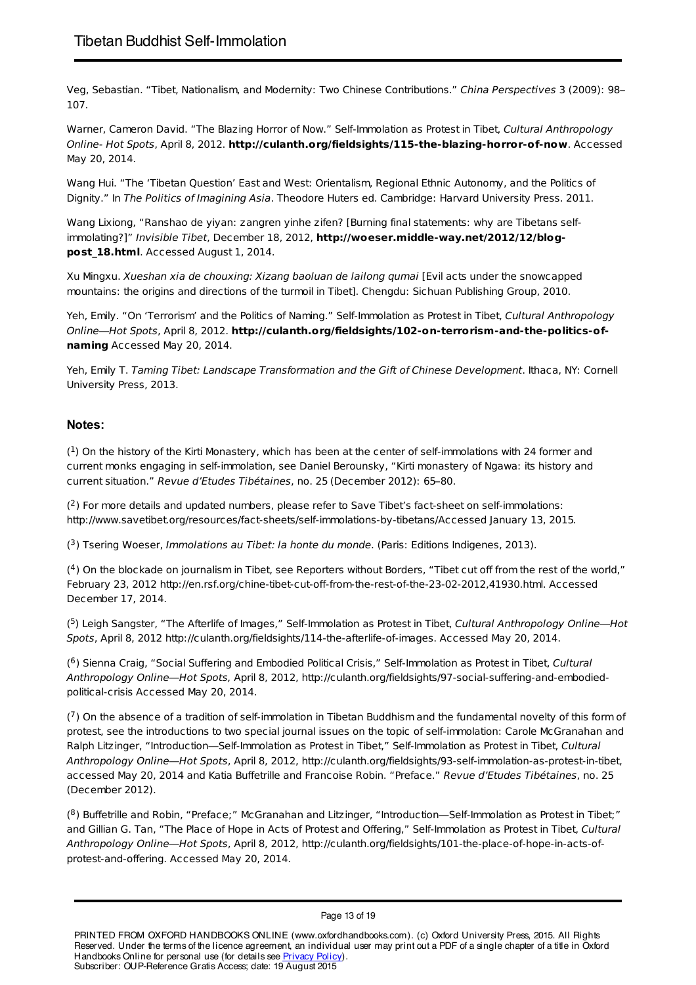Veg, Sebastian. "Tibet, Nationalism, and Modernity: Two Chinese Contributions." China Perspectives 3 (2009): 98– 107.

Warner, Cameron David. "The Blazing Horror of Now." Self-Immolation as Protest in Tibet, Cultural Anthropology Online- Hot Spots, April 8, 2012. **http://culanth.org/fieldsights/115-the-blazing-horror-of-now**. Accessed May 20, 2014.

Wang Hui. "The 'Tibetan Question' East and West: Orientalism, Regional Ethnic Autonomy, and the Politics of Dignity." In The Politics of Imagining Asia. Theodore Huters ed. Cambridge: Harvard University Press. 2011.

Wang Lixiong, "Ranshao de yiyan: zangren yinhe zifen? [Burning final statements: why are Tibetans selfimmolating?]" Invisible Tibet, December 18, 2012, **http://woeser.middle-way.net/2012/12/blogpost\_18.html**. Accessed August 1, 2014.

Xu Mingxu. Xueshan xia de chouxing: Xizang baoluan de lailong qumai [Evil acts under the snowcapped mountains: the origins and directions of the turmoil in Tibet]. Chengdu: Sichuan Publishing Group, 2010.

Yeh, Emily. "On 'Terrorism' and the Politics of Naming." Self-Immolation as Protest in Tibet, Cultural Anthropology Online—Hot Spots, April 8, 2012. **http://culanth.org/fieldsights/102-on-terrorism-and-the-politics-ofnaming** Accessed May 20, 2014.

Yeh, Emily T. Taming Tibet: Landscape Transformation and the Gift of Chinese Development. Ithaca, NY: Cornell University Press, 2013.

# **Notes:**

 $(1)$  On the history of the Kirti Monastery, which has been at the center of self-immolations with 24 former and current monks engaging in self-immolation, see Daniel Berounsky, "Kirti monastery of Ngawa: its history and current situation." Revue d'Etudes Tibétaines, no. 25 (December 2012): 65–80.

 $(2)$  For more details and updated numbers, please refer to Save Tibet's fact-sheet on self-immolations: http://www.savetibet.org/resources/fact-sheets/self-immolations-by-tibetans/Accessed January 13, 2015.

 $(3)$  Tsering Woeser, Immolations au Tibet: la honte du monde. (Paris: Editions Indigenes, 2013).

 $(4)$  On the blockade on journalism in Tibet, see Reporters without Borders, "Tibet cut off from the rest of the world," February 23, 2012 http://en.rsf.org/chine-tibet-cut-off-from-the-rest-of-the-23-02-2012,41930.html. Accessed December 17, 2014.

 $(5)$  Leigh Sangster, "The Afterlife of Images," Self-Immolation as Protest in Tibet, Cultural Anthropology Online—Hot Spots, April 8, 2012 http://culanth.org/fieldsights/114-the-afterlife-of-images. Accessed May 20, 2014.

 $(6)$  Sienna Craig, "Social Suffering and Embodied Political Crisis," Self-Immolation as Protest in Tibet, Cultural Anthropology Online—Hot Spots, April 8, 2012, http://culanth.org/fieldsights/97-social-suffering-and-embodiedpolitical-crisis Accessed May 20, 2014.

 $(7)$  On the absence of a tradition of self-immolation in Tibetan Buddhism and the fundamental novelty of this form of protest, see the introductions to two special journal issues on the topic of self-immolation: Carole McGranahan and Ralph Litzinger, "Introduction—Self-Immolation as Protest in Tibet," Self-Immolation as Protest in Tibet, Cultural Anthropology Online—Hot Spots, April 8, 2012, http://culanth.org/fieldsights/93-self-immolation-as-protest-in-tibet, accessed May 20, 2014 and Katia Buffetrille and Francoise Robin. "Preface." Revue d'Etudes Tibétaines, no. 25 (December 2012).

 $(8)$  Buffetrille and Robin, "Preface;" McGranahan and Litzinger, "Introduction—Self-Immolation as Protest in Tibet;" and Gillian G. Tan, "The Place of Hope in Acts of Protest and Offering," Self-Immolation as Protest in Tibet, Cultural Anthropology Online—Hot Spots, April 8, 2012, http://culanth.org/fieldsights/101-the-place-of-hope-in-acts-ofprotest-and-offering. Accessed May 20, 2014.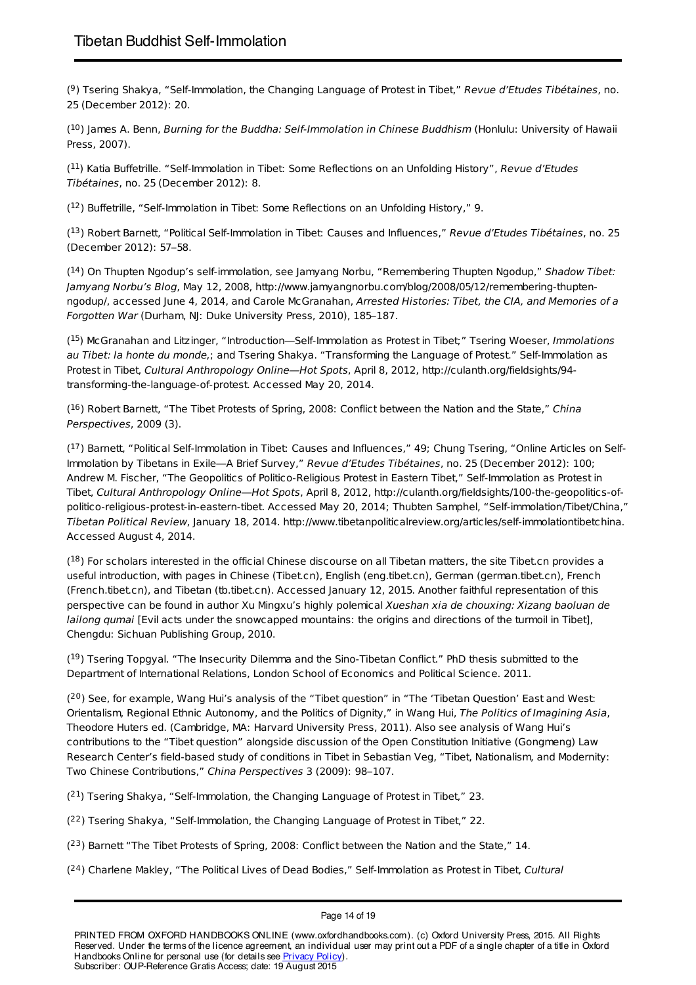(<sup>9</sup>) Tsering Shakya, "Self-Immolation, the Changing Language of Protest in Tibet," Revue d'Etudes Tibétaines, no. 25 (December 2012): 20.

 $(10)$  James A. Benn, Burning for the Buddha: Self-Immolation in Chinese Buddhism (Honlulu: University of Hawaii Press, 2007).

 $(11)$  Katia Buffetrille. "Self-Immolation in Tibet: Some Reflections on an Unfolding History", Revue d'Etudes Tibétaines, no. 25 (December 2012): 8.

 $(12)$  Buffetrille, "Self-Immolation in Tibet: Some Reflections on an Unfolding History," 9.

(<sup>13</sup>) Robert Barnett, "Political Self-Immolation in Tibet: Causes and Influences," Revue d'Etudes Tibétaines, no. 25 (December 2012): 57–58.

 $(14)$  On Thupten Ngodup's self-immolation, see Jamyang Norbu, "Remembering Thupten Ngodup," Shadow Tibet: Jamyang Norbu's Blog, May 12, 2008, http://www.jamyangnorbu.com/blog/2008/05/12/remembering-thuptenngodup/, accessed June 4, 2014, and Carole McGranahan, Arrested Histories: Tibet, the CIA, and Memories of a Forgotten War (Durham, NJ: Duke University Press, 2010), 185-187.

(<sup>15</sup>) McGranahan and Litzinger, "Introduction—Self-Immolation as Protest in Tibet;" Tsering Woeser, Immolations au Tibet: la honte du monde,: and Tsering Shakya. "Transforming the Language of Protest." Self-Immolation as Protest in Tibet, Cultural Anthropology Online—Hot Spots, April 8, 2012, http://culanth.org/fieldsights/94 transforming-the-language-of-protest. Accessed May 20, 2014.

 $(16)$  Robert Barnett, "The Tibet Protests of Spring, 2008: Conflict between the Nation and the State," China Perspectives, 2009 (3).

 $(17)$  Barnett, "Political Self-Immolation in Tibet: Causes and Influences," 49; Chung Tsering, "Online Articles on Self-Immolation by Tibetans in Exile—A Brief Survey," Revue d'Etudes Tibétaines, no. 25 (December 2012): 100; Andrew M. Fischer, "The Geopolitics of Politico-Religious Protest in Eastern Tibet," Self-Immolation as Protest in Tibet, Cultural Anthropology Online—Hot Spots, April 8, 2012, http://culanth.org/fieldsights/100-the-geopolitics-ofpolitico-religious-protest-in-eastern-tibet. Accessed May 20, 2014; Thubten Samphel, "Self-immolation/Tibet/China," Tibetan Political Review, January 18, 2014. http://www.tibetanpoliticalreview.org/articles/self-immolationtibetchina. Accessed August 4, 2014.

 $(18)$  For scholars interested in the official Chinese discourse on all Tibetan matters, the site Tibet.cn provides a useful introduction, with pages in Chinese (Tibet.cn), English (eng.tibet.cn), German (german.tibet.cn), French (French.tibet.cn), and Tibetan (tb.tibet.cn). Accessed January 12, 2015. Another faithful representation of this perspective can be found in author Xu Mingxu's highly polemical Xueshan xia de chouxing: Xizang baoluan de lailong qumai [Evil acts under the snowcapped mountains: the origins and directions of the turmoil in Tibet], Chengdu: Sichuan Publishing Group, 2010.

(<sup>19</sup>) Tsering Topgyal. "The Insecurity Dilemma and the Sino-Tibetan Conflict." PhD thesis submitted to the Department of International Relations, London School of Economics and Political Science. 2011.

 $(2^0)$  See, for example, Wang Hui's analysis of the "Tibet question" in "The 'Tibetan Question' East and West: Orientalism, Regional Ethnic Autonomy, and the Politics of Dignity," in Wang Hui, The Politics of Imagining Asia, Theodore Huters ed. (Cambridge, MA: Harvard University Press, 2011). Also see analysis of Wang Hui's contributions to the "Tibet question" alongside discussion of the Open Constitution Initiative (Gongmeng) Law Research Center's field-based study of conditions in Tibet in Sebastian Veg, "Tibet, Nationalism, and Modernity: Two Chinese Contributions," China Perspectives 3 (2009): 98–107.

 $(21)$  Tsering Shakya, "Self-Immolation, the Changing Language of Protest in Tibet," 23.

 $(2^2)$  Tsering Shakya, "Self-Immolation, the Changing Language of Protest in Tibet," 22.

 $(2^3)$  Barnett "The Tibet Protests of Spring, 2008: Conflict between the Nation and the State," 14.

 $(24)$  Charlene Makley, "The Political Lives of Dead Bodies," Self-Immolation as Protest in Tibet, Cultural

Page 14 of 19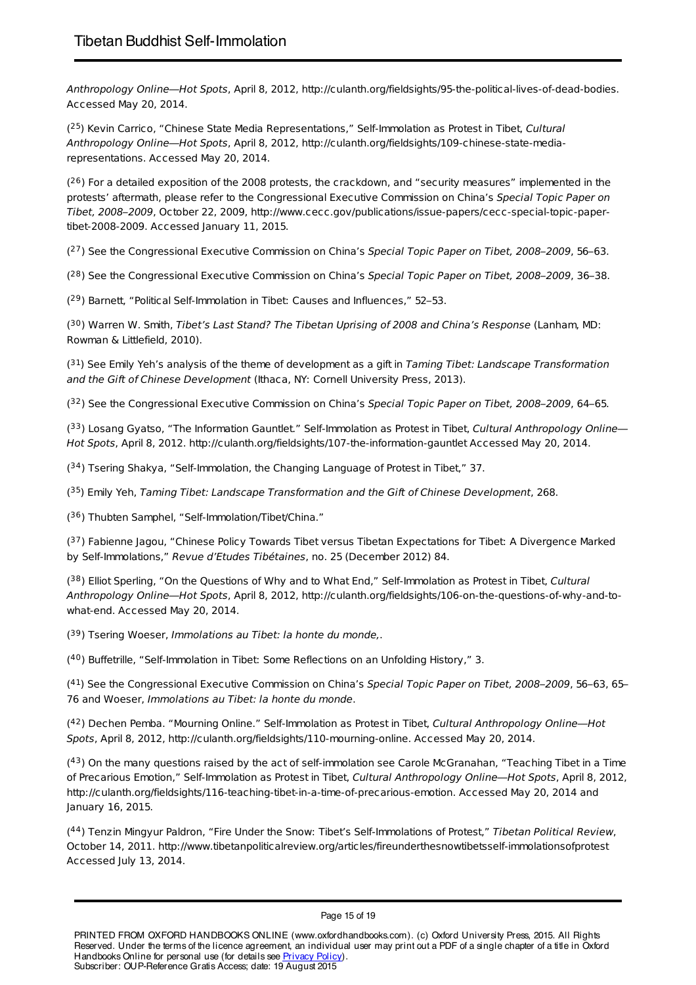Anthropology Online—Hot Spots, April 8, 2012, http://culanth.org/fieldsights/95-the-political-lives-of-dead-bodies. Accessed May 20, 2014.

 $(2^5)$  Kevin Carrico, "Chinese State Media Representations," Self-Immolation as Protest in Tibet, Cultural Anthropology Online—Hot Spots, April 8, 2012, http://culanth.org/fieldsights/109-chinese-state-mediarepresentations. Accessed May 20, 2014.

 $(2^6)$  For a detailed exposition of the 2008 protests, the crackdown, and "security measures" implemented in the protests' aftermath, please refer to the Congressional Executive Commission on China's Special Topic Paper on Tibet, 2008–2009, October 22, 2009, http://www.cecc.gov/publications/issue-papers/cecc-special-topic-papertibet-2008-2009. Accessed January 11, 2015.

 $(27)$  See the Congressional Executive Commission on China's Special Topic Paper on Tibet, 2008–2009, 56–63.

 $(28)$  See the Congressional Executive Commission on China's Special Topic Paper on Tibet, 2008–2009, 36–38.

 $(29)$  Barnett, "Political Self-Immolation in Tibet: Causes and Influences," 52–53.

(<sup>30</sup>) Warren W. Smith, Tibet's Last Stand? The Tibetan Uprising of 2008 and China's Response (Lanham, MD: Rowman & Littlefield, 2010).

 $(31)$  See Emily Yeh's analysis of the theme of development as a gift in Taming Tibet: Landscape Transformation and the Gift of Chinese Development (Ithaca, NY: Cornell University Press, 2013).

(<sup>32</sup>) See the Congressional Executive Commission on China's Special Topic Paper on Tibet, 2008–2009, 64–65.

 $(33)$  Losang Gyatso, "The Information Gauntlet." Self-Immolation as Protest in Tibet, Cultural Anthropology Online— Hot Spots, April 8, 2012. http://culanth.org/fieldsights/107-the-information-gauntlet Accessed May 20, 2014.

 $(34)$  Tsering Shakya, "Self-Immolation, the Changing Language of Protest in Tibet," 37.

(<sup>35</sup>) Emily Yeh, Taming Tibet: Landscape Transformation and the Gift of Chinese Development, 268.

(<sup>36</sup>) Thubten Samphel, "Self-Immolation/Tibet/China."

(<sup>37</sup>) Fabienne Jagou, "Chinese Policy Towards Tibet versus Tibetan Expectations for Tibet: A Divergence Marked by Self-Immolations," Revue d'Etudes Tibétaines, no. 25 (December 2012) 84.

 $(38)$  Elliot Sperling, "On the Questions of Why and to What End," Self-Immolation as Protest in Tibet, Cultural Anthropology Online—Hot Spots, April 8, 2012, http://culanth.org/fieldsights/106-on-the-questions-of-why-and-towhat-end. Accessed May 20, 2014.

 $(39)$  Tsering Woeser, Immolations au Tibet: la honte du monde,.

 $(40)$  Buffetrille, "Self-Immolation in Tibet: Some Reflections on an Unfolding History," 3.

(<sup>41</sup>) See the Congressional Executive Commission on China's Special Topic Paper on Tibet, 2008–2009, 56–63, 65– 76 and Woeser, Immolations au Tibet: la honte du monde.

(<sup>42</sup>) Dechen Pemba. "Mourning Online." Self-Immolation as Protest in Tibet, Cultural Anthropology Online-Hot Spots, April 8, 2012, http://culanth.org/fieldsights/110-mourning-online. Accessed May 20, 2014.

(<sup>43</sup>) On the many questions raised by the act of self-immolation see Carole McGranahan, "Teaching Tibet in a Time of Precarious Emotion," Self-Immolation as Protest in Tibet, Cultural Anthropology Online—Hot Spots, April 8, 2012, http://culanth.org/fieldsights/116-teaching-tibet-in-a-time-of-precarious-emotion. Accessed May 20, 2014 and January 16, 2015.

(44) Tenzin Mingyur Paldron, "Fire Under the Snow: Tibet's Self-Immolations of Protest," Tibetan Political Review, October 14, 2011. http://www.tibetanpoliticalreview.org/articles/fireunderthesnowtibetsself-immolationsofprotest Accessed July 13, 2014.

#### Page 15 of 19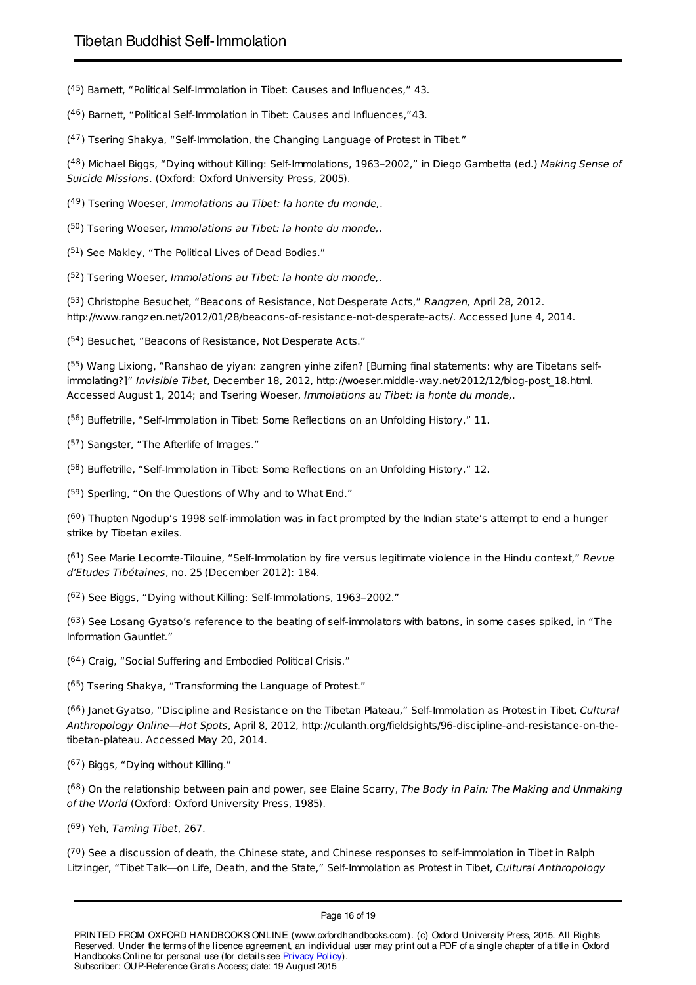(45) Barnett, "Political Self-Immolation in Tibet: Causes and Influences," 43.

(<sup>46</sup>) Barnett, "Political Self-Immolation in Tibet: Causes and Influences,"43.

 $(47)$  Tsering Shakya, "Self-Immolation, the Changing Language of Protest in Tibet."

(<sup>48</sup>) Michael Biggs, "Dying without Killing: Self-Immolations, 1963–2002," in Diego Gambetta (ed.) Making Sense of Suicide Missions. (Oxford: Oxford University Press, 2005).

(<sup>49</sup>) Tsering Woeser, Immolations au Tibet: la honte du monde,.

(<sup>50</sup>) Tsering Woeser, Immolations au Tibet: la honte du monde,.

 $(51)$  See Makley, "The Political Lives of Dead Bodies."

(<sup>52</sup>) Tsering Woeser, Immolations au Tibet: la honte du monde,.

(<sup>53</sup>) Christophe Besuchet, "Beacons of Resistance, Not Desperate Acts," Rangzen, April 28, 2012. http://www.rangzen.net/2012/01/28/beacons-of-resistance-not-desperate-acts/. Accessed June 4, 2014.

(54) Besuchet, "Beacons of Resistance, Not Desperate Acts."

(<sup>55</sup>) Wang Lixiong, "Ranshao de yiyan: zangren yinhe zifen? [Burning final statements: why are Tibetans selfimmolating?]" Invisible Tibet, December 18, 2012, http://woeser.middle-way.net/2012/12/blog-post\_18.html. Accessed August 1, 2014; and Tsering Woeser, Immolations au Tibet: la honte du monde,.

(<sup>56</sup>) Buffetrille, "Self-Immolation in Tibet: Some Reflections on an Unfolding History," 11.

(<sup>57</sup>) Sangster, "The Afterlife of Images."

(<sup>58</sup>) Buffetrille, "Self-Immolation in Tibet: Some Reflections on an Unfolding History," 12.

 $(59)$  Sperling, "On the Questions of Why and to What End."

(<sup>60</sup>) Thupten Ngodup's 1998 self-immolation was in fact prompted by the Indian state's attempt to end a hunger strike by Tibetan exiles.

 $(61)$  See Marie Lecomte-Tilouine, "Self-Immolation by fire versus legitimate violence in the Hindu context," Revue d'Etudes Tibétaines, no. 25 (December 2012): 184.

 $(62)$  See Biggs, "Dying without Killing: Self-Immolations, 1963–2002."

 $(63)$  See Losang Gyatso's reference to the beating of self-immolators with batons, in some cases spiked, in "The Information Gauntlet."

 $(64)$  Craig, "Social Suffering and Embodied Political Crisis."

(<sup>65</sup>) Tsering Shakya, "Transforming the Language of Protest."

(<sup>66</sup>) Janet Gyatso, "Discipline and Resistance on the Tibetan Plateau," Self-Immolation as Protest in Tibet, Cultural Anthropology Online—Hot Spots, April 8, 2012, http://culanth.org/fieldsights/96-discipline-and-resistance-on-thetibetan-plateau. Accessed May 20, 2014.

 $(67)$  Biggs, "Dying without Killing."

(<sup>68</sup>) On the relationship between pain and power, see Elaine Scarry, The Body in Pain: The Making and Unmaking of the World (Oxford: Oxford University Press, 1985).

<sup>(69</sup>) Yeh, Taming Tibet, 267.

 $(70)$  See a discussion of death, the Chinese state, and Chinese responses to self-immolation in Tibet in Ralph Litzinger, "Tibet Talk-on Life, Death, and the State," Self-Immolation as Protest in Tibet, Cultural Anthropology

Page 16 of 19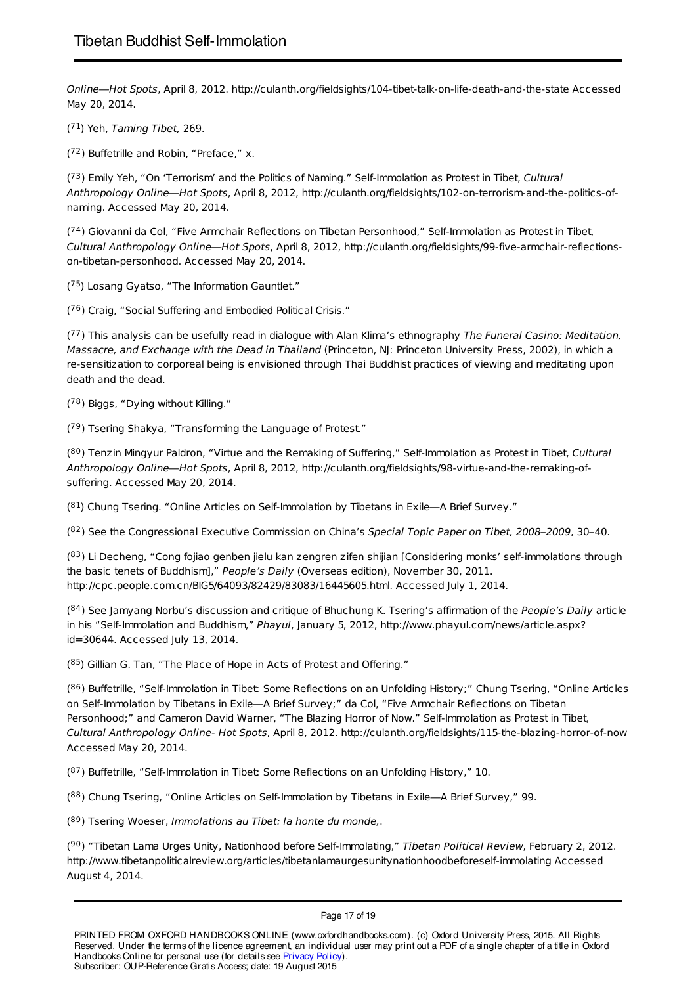Online—Hot Spots, April 8, 2012. http://culanth.org/fieldsights/104-tibet-talk-on-life-death-and-the-state Accessed May 20, 2014.

 $(71)$  Yeh, Taming Tibet, 269.

 $(72)$  Buffetrille and Robin, "Preface," x.

 $(73)$  Emily Yeh, "On 'Terrorism' and the Politics of Naming." Self-Immolation as Protest in Tibet, Cultural Anthropology Online—Hot Spots, April 8, 2012, http://culanth.org/fieldsights/102-on-terrorism-and-the-politics-ofnaming. Accessed May 20, 2014.

 $(74)$  Giovanni da Col, "Five Armchair Reflections on Tibetan Personhood," Self-Immolation as Protest in Tibet, Cultural Anthropology Online—Hot Spots, April 8, 2012, http://culanth.org/fieldsights/99-five-armchair-reflectionson-tibetan-personhood. Accessed May 20, 2014.

(<sup>75</sup>) Losang Gyatso, "The Information Gauntlet."

 $(76)$  Craig, "Social Suffering and Embodied Political Crisis."

 $(77)$  This analysis can be usefully read in dialogue with Alan Klima's ethnography The Funeral Casino: Meditation, Massacre, and Exchange with the Dead in Thailand (Princeton, NJ: Princeton University Press, 2002), in which a re-sensitization to corporeal being is envisioned through Thai Buddhist practices of viewing and meditating upon death and the dead.

 $(78)$  Biggs, "Dying without Killing."

 $(79)$  Tsering Shakya, "Transforming the Language of Protest."

(<sup>80</sup>) Tenzin Mingyur Paldron, "Virtue and the Remaking of Suffering," Self-Immolation as Protest in Tibet, Cultural Anthropology Online—Hot Spots, April 8, 2012, http://culanth.org/fieldsights/98-virtue-and-the-remaking-ofsuffering. Accessed May 20, 2014.

 $(81)$  Chung Tsering. "Online Articles on Self-Immolation by Tibetans in Exile—A Brief Survey."

(<sup>82</sup>) See the Congressional Executive Commission on China's Special Topic Paper on Tibet, 2008–2009, 30–40.

(<sup>83</sup>) Li Decheng, "Cong fojiao genben jielu kan zengren zifen shijian [Considering monks' self-immolations through the basic tenets of Buddhism]," People's Daily (Overseas edition), November 30, 2011. http://cpc.people.com.cn/BIG5/64093/82429/83083/16445605.html. Accessed July 1, 2014.

(<sup>84</sup>) See Jamyang Norbu's discussion and critique of Bhuchung K. Tsering's affirmation of the People's Daily article in his "Self-Immolation and Buddhism," Phayul, January 5, 2012, http://www.phayul.com/news/article.aspx? id=30644. Accessed July 13, 2014.

 $(85)$  Gillian G. Tan, "The Place of Hope in Acts of Protest and Offering."

(<sup>86</sup>) Buffetrille, "Self-Immolation in Tibet: Some Reflections on an Unfolding History;" Chung Tsering, "Online Articles on Self-Immolation by Tibetans in Exile—A Brief Survey;" da Col, "Five Armchair Reflections on Tibetan Personhood;" and Cameron David Warner, "The Blazing Horror of Now." Self-Immolation as Protest in Tibet, Cultural Anthropology Online- Hot Spots, April 8, 2012. http://culanth.org/fieldsights/115-the-blazing-horror-of-now Accessed May 20, 2014.

 $(87)$  Buffetrille, "Self-Immolation in Tibet: Some Reflections on an Unfolding History," 10.

(88) Chung Tsering, "Online Articles on Self-Immolation by Tibetans in Exile—A Brief Survey," 99.

(89) Tsering Woeser, Immolations au Tibet: la honte du monde,.

(<sup>90</sup>) "Tibetan Lama Urges Unity, Nationhood before Self-Immolating," Tibetan Political Review, February 2, 2012. http://www.tibetanpoliticalreview.org/articles/tibetanlamaurgesunitynationhoodbeforeself-immolating Accessed August 4, 2014.

Page 17 of 19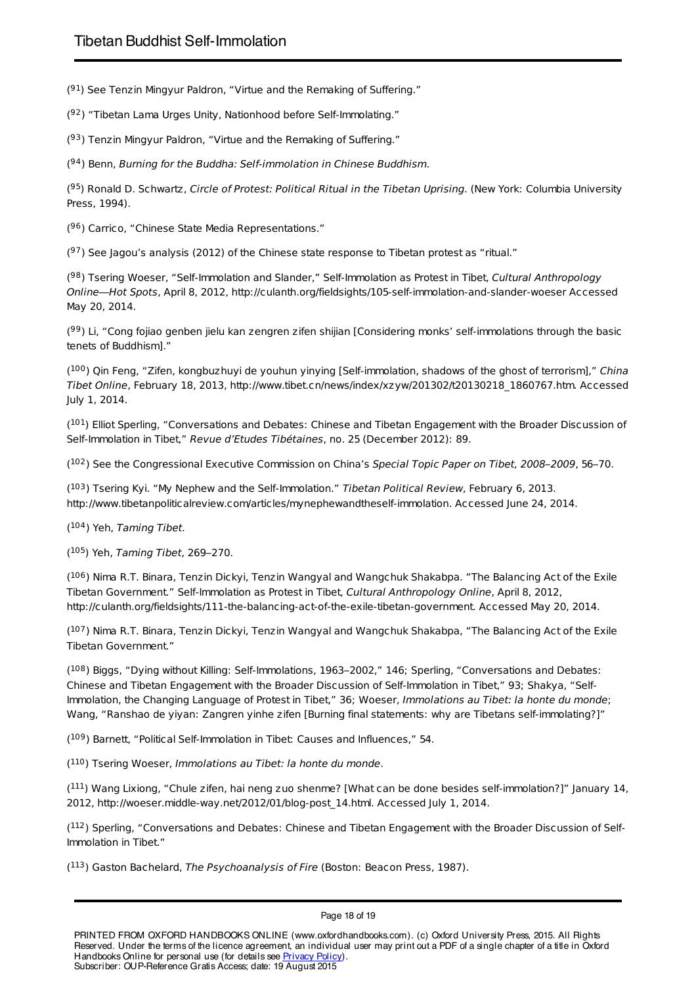$(91)$  See Tenzin Mingyur Paldron, "Virtue and the Remaking of Suffering."

(92) "Tibetan Lama Urges Unity, Nationhood before Self-Immolating."

(93) Tenzin Mingyur Paldron, "Virtue and the Remaking of Suffering."

 $(94)$  Benn, Burning for the Buddha: Self-immolation in Chinese Buddhism.

(<sup>95</sup>) Ronald D. Schwartz, Circle of Protest: Political Ritual in the Tibetan Uprising. (New York: Columbia University Press, 1994).

(96) Carrico, "Chinese State Media Representations."

 $(97)$  See Jagou's analysis (2012) of the Chinese state response to Tibetan protest as "ritual."

(<sup>98</sup>) Tsering Woeser, "Self-Immolation and Slander," Self-Immolation as Protest in Tibet, Cultural Anthropology Online—Hot Spots, April 8, 2012, http://culanth.org/fieldsights/105-self-immolation-and-slander-woeser Accessed May 20, 2014.

(<sup>99</sup>) Li, "Cong fojiao genben jielu kan zengren zifen shijian [Considering monks' self-immolations through the basic tenets of Buddhism]."

(<sup>100</sup>) Qin Feng, "Zifen, kongbuzhuyi de youhun yinying [Self-immolation, shadows of the ghost of terrorism]," China Tibet Online, February 18, 2013, http://www.tibet.cn/news/index/xzyw/201302/t20130218\_1860767.htm. Accessed July 1, 2014.

(<sup>101</sup>) Elliot Sperling, "Conversations and Debates: Chinese and Tibetan Engagement with the Broader Discussion of Self-Immolation in Tibet," Revue d'Etudes Tibétaines, no. 25 (December 2012): 89.

(<sup>102</sup>) See the Congressional Executive Commission on China's Special Topic Paper on Tibet, 2008–2009, 56–70.

(<sup>103</sup>) Tsering Kyi. "My Nephew and the Self-Immolation." Tibetan Political Review, February 6, 2013. http://www.tibetanpoliticalreview.com/articles/mynephewandtheself-immolation. Accessed June 24, 2014.

 $(104)$  Yeh, Taming Tibet.

(<sup>105</sup>) Yeh, Taming Tibet, 269-270.

(<sup>106</sup>) Nima R.T. Binara, Tenzin Dickyi, Tenzin Wangyal and Wangchuk Shakabpa. "The Balancing Act of the Exile Tibetan Government." Self-Immolation as Protest in Tibet, Cultural Anthropology Online, April 8, 2012, http://culanth.org/fieldsights/111-the-balancing-act-of-the-exile-tibetan-government. Accessed May 20, 2014.

(<sup>107</sup>) Nima R.T. Binara, Tenzin Dickyi, Tenzin Wangyal and Wangchuk Shakabpa, "The Balancing Act of the Exile Tibetan Government."

(<sup>108</sup>) Biggs, "Dying without Killing: Self-Immolations, 1963–2002," 146; Sperling, "Conversations and Debates: Chinese and Tibetan Engagement with the Broader Discussion of Self-Immolation in Tibet," 93; Shakya, "Self-Immolation, the Changing Language of Protest in Tibet," 36; Woeser, Immolations au Tibet: la honte du monde; Wang, "Ranshao de yiyan: Zangren yinhe zifen [Burning final statements: why are Tibetans self-immolating?]"

 $(109)$  Barnett, "Political Self-Immolation in Tibet: Causes and Influences," 54.

 $(110)$  Tsering Woeser, Immolations au Tibet: la honte du monde.

(<sup>111</sup>) Wang Lixiong, "Chule zifen, hai neng zuo shenme? [What can be done besides self-immolation?]" January 14, 2012, http://woeser.middle-way.net/2012/01/blog-post\_14.html. Accessed July 1, 2014.

 $(112)$  Sperling, "Conversations and Debates: Chinese and Tibetan Engagement with the Broader Discussion of Self-Immolation in Tibet."

 $(113)$  Gaston Bachelard, The Psychoanalysis of Fire (Boston: Beacon Press, 1987).

Page 18 of 19